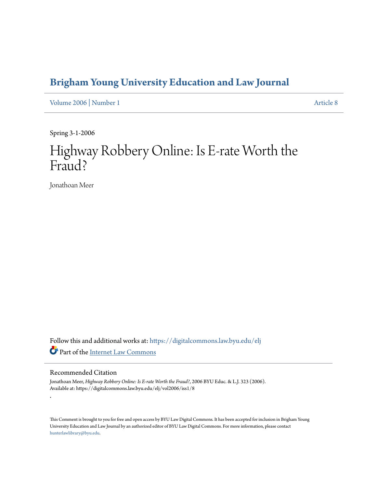## **[Brigham Young University Education and Law Journal](https://digitalcommons.law.byu.edu/elj?utm_source=digitalcommons.law.byu.edu%2Felj%2Fvol2006%2Fiss1%2F8&utm_medium=PDF&utm_campaign=PDFCoverPages)**

[Volume 2006](https://digitalcommons.law.byu.edu/elj/vol2006?utm_source=digitalcommons.law.byu.edu%2Felj%2Fvol2006%2Fiss1%2F8&utm_medium=PDF&utm_campaign=PDFCoverPages) | [Number 1](https://digitalcommons.law.byu.edu/elj/vol2006/iss1?utm_source=digitalcommons.law.byu.edu%2Felj%2Fvol2006%2Fiss1%2F8&utm_medium=PDF&utm_campaign=PDFCoverPages) [Article 8](https://digitalcommons.law.byu.edu/elj/vol2006/iss1/8?utm_source=digitalcommons.law.byu.edu%2Felj%2Fvol2006%2Fiss1%2F8&utm_medium=PDF&utm_campaign=PDFCoverPages)

Spring 3-1-2006

# Highway Robbery Online: Is E-rate Worth the Fraud?

Jonathoan Meer

Follow this and additional works at: [https://digitalcommons.law.byu.edu/elj](https://digitalcommons.law.byu.edu/elj?utm_source=digitalcommons.law.byu.edu%2Felj%2Fvol2006%2Fiss1%2F8&utm_medium=PDF&utm_campaign=PDFCoverPages) Part of the [Internet Law Commons](http://network.bepress.com/hgg/discipline/892?utm_source=digitalcommons.law.byu.edu%2Felj%2Fvol2006%2Fiss1%2F8&utm_medium=PDF&utm_campaign=PDFCoverPages)

#### Recommended Citation

.

Jonathoan Meer, *Highway Robbery Online: Is E-rate Worth the Fraud?*, 2006 BYU Educ. & L.J. 323 (2006). Available at: https://digitalcommons.law.byu.edu/elj/vol2006/iss1/8

This Comment is brought to you for free and open access by BYU Law Digital Commons. It has been accepted for inclusion in Brigham Young University Education and Law Journal by an authorized editor of BYU Law Digital Commons. For more information, please contact [hunterlawlibrary@byu.edu.](mailto:hunterlawlibrary@byu.edu)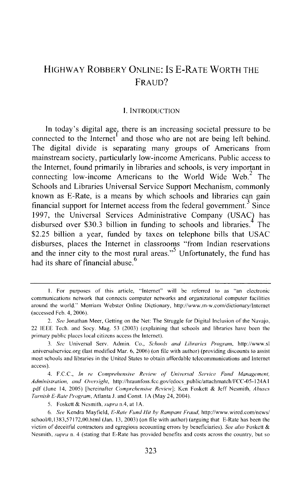### HIGHWAY ROBBERY ONLINE: IS E-RATE WORTH THE FRAUD?

#### I. INTRODUCTION

In today's digital age, there is an increasing societal pressure to be connected to the Internet<sup>1</sup> and those who are not are being left behind. The digital divide is separating many groups of Americans from mainstream society, particularly low-income Americans. Public access to the Internet, found primarily in libraries and schools, is very important in connecting low-income Americans to the World Wide Web. $<sup>2</sup>$  The</sup> Schools and Libraries Universal Service Support Mechanism, commonly known as E-Rate, is a means by which schools and libraries can gain financial support for Internet access from the federal government.<sup>3</sup> Since 1997, the Universal Services Administrative Company (USAC) has disbursed over \$30.3 billion in funding to schools and libraries.<sup>4</sup> The \$2.25 billion a year, funded by taxes on telephone bills that USAC disburses, places the Internet in classrooms "from Indian reservations and the inner city to the most rural areas."<sup>5</sup> Unfortunately, the fund has had its share of financial abuse.<sup>6</sup>

I. For purposes of this article, "Internet" will be referred to as "an electronic communications network that connects computer networks and organizational computer facilities around the world." Merriam Webster Online Dictionary, http://www.m-w.com/dictionary/lntemct (accessed Feb. 4, 2006 ).

<sup>2.</sup> *See* Jonathan Meer, Getting on the Net: The Struggle for Digital Inclusion of the Navajo, 22 IEEE Tech. and Socy. Mag. 53 (2003) (explaining that schools and libraries have been the primary public places local citizens access the Internet).

<sup>3.</sup> *See* Universal Scrv. Admin. Co., *Schools and Libraries Program,* http://www.sl .universalscrvicc.org (last modified Mar. 6, 2006) (on file with author) (providing discounts to assist most schools and libraries in the United States to obtain affordable telecommunications and Internet access).

<sup>4.</sup> F.C.C., *In re Comprehensive Review ol Universal Service Fund Management, Administration, and Owrsight,* http:/ /hrauntoss.fcc.gov/edocs \_public/attachmatch/FCC-05-124A I .pdf (June 14, 2005) [hereinafter *Comprehensive Review];* Ken Foskett & Jeff Nesmith, *Abuses Tarnish £-Rate Program,* Atlanta J. and Const. I A (May 24, 2004).

<sup>5.</sup> Foskett & Nesmith, *supra* n.4, at I A.

<sup>6.</sup> *See* Kendra Mayfield, *E-Rate Fund Hit by Rampant Fraud,* http://www.wired.com/news/ school/0, J3g3,57172,00.html (Jan. 13, 2003) (on file with author) (arguing that E-Rate has been the victim of deceitful contractors and egregious accounting errors by beneficiaries). *See also* Foskett & Nesmith, *supra* n. 4 (stating that E-Rate has provided benefits and costs across the country, but so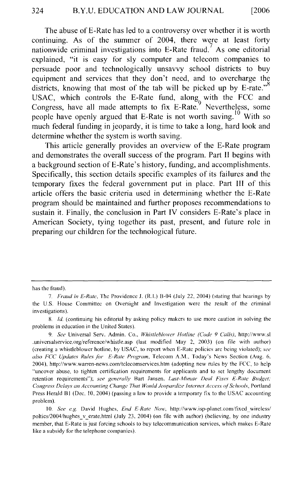The abuse of E-Rate has led to a controversy over whether it is worth continuing. As of the summer of 2004, there were at least forty nationwide criminal investigations into E-Rate fraud.<sup>7</sup> As one editorial explained, "it is easy for sly computer and telecom companies to persuade poor and technologically unsavvy school districts to buy equipment and services that they don't need, and to overcharge the districts, knowing that most of the tab will be picked up by E-rate."<sup>8</sup> USAC, which controls the E-Rate fund, along with the FCC and Congress, have all made attempts to fix  $E-Rate$ . Nevertheless, some people have openly argued that E-Rate is not worth saving.<sup>10</sup> With so much federal funding in jeopardy, it is time to take a long, hard look and determine whether the system is worth saving.

This article generally provides an overview of the E-Rate program and demonstrates the overall success of the program. Part II begins with a background section of E-Rate's history, funding, and accomplishments. Specifically, this section details specific examples of its failures and the temporary fixes the federal government put in place. Part III of this article offers the basic criteria used in determining whether the E-Rate program should be maintained and further proposes recommendations to sustain it. Finally, the conclusion in Part IV considers E-Rate's place in American Society, tying together its past, present, and future role in preparing our children for the technological future.

has the fraud).

<sup>7.</sup> *Fraud in £-Rate,* The Providence J. (R.I.) B-04 (July 22, 2004) (stating that hearings by the U.S. House Committee on Oversight and Investigation were the result of the criminal investigations).

<sup>8.</sup> *!d.* (continuing his editorial by asking policy makers to use more caution in solving the problems in education in the United States).

<sup>9.</sup> *See* Universal Serv. Admin. Co., *Whistleblowcr Hotline (Code 9 Calls},* http://www.sl .universalservice.org/reference/whistle.asp (last modified May 2, 2003) (on tile with author) (creating a whistleblowcr hotline, by USAC, to report when E-Ratc policies arc being violated); *see also FCC Updates Rules for £-Rate Program,* Telecom A.M., Today's News Section (Aug. 6, 2004), http://www.warren-news.com/telecomscrvices.htm (adopting new rules by the FCC, to help "uncover abuse, to tighten certification requirements for applicants and to set lengthy document retention requirements"); *see generally* Bart Jansen, *Last-Minute Deal Fixes £-Rate Budget; Congress Delays an Accounting Change That Would Jeopardize Internet Access of'Schools,* Portland Press Herald B1 (Dec.  $10, 2004$ ) (passing a law to provide a temporary fix to the USAC accounting problem).

<sup>10.</sup> *See e.g.* David Hughes, *End £-Rate Now,* http://www.isp-planet.com/tixed\_wirelcss/ poltics/2004/hughes v erate.html (July 23, 2004) (on file with author) (believing, by one industry member, that E-Rate is just forcing schools to buy telecommunication services, which makes E-Ratc like a subsidy for the telephone companies).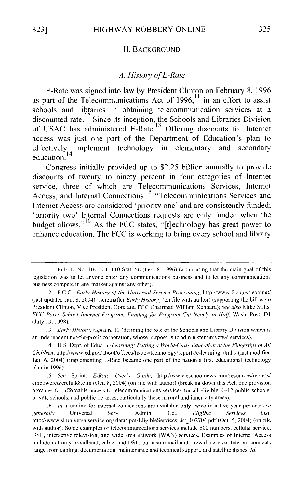#### II. BACKGROUND

#### *A. History of E-Rate*

E-Rate was signed into law by President Clinton on February 8, 1996 as part of the Telecommunications Act of  $1996$ ,  $11$  in an effort to assist schools and libraries in obtaining telecommunication services at a discounted rate.<sup>12</sup> Since its inception, the Schools and Libraries Division of USAC has administered E-Rate.<sup>13</sup> Offering discounts for Internet access was just one part of the Department of Education's plan to effectively implement technology in elementary and secondary  $\frac{14}{4}$  education.

Congress initially provided up to \$2.25 billion annually to provide discounts of twenty to ninety percent in four categories of Internet service, three of which are Telecommunications Services, Internet Access, and Internal Connections.<sup>15</sup> "Telecommunications Services and Internet Access are considered 'priority one' and are consistently funded; 'priority two' Internal Connections requests are only funded when the budget allows."<sup>16</sup> As the FCC states, "[t]echnology has great power to enhance education. The FCC is working to bring every school and library

II. Pub. L. No. I 04-104, 110 Stat. 56 (Feb. 8, 1996) (articulating that the main goal of this legislation was to let anyone enter any communications business and to let any communications business compete in any market against any other).

<sup>12.</sup> F.C.C., *Earlv History of' the Universal Service Proceeding,* http://www.fcc.gov/learnnct/ (last updated Jan. 8, 2004) [hereinafter *Early History]* (on file with author) (supporting the bill were President Clinton, Vice President Gore and FCC Chairman William Kennard); *see also* Mike Mills, FCC Pares School Internet Program; Funding for Program Cut Nearly in Half, Wash. Post. D1 (July 13, 199X).

<sup>13.</sup> *Early History, supra* n. 12 (defining the role of the Schools and Library Division which is an independent not-for-profit corporation, whose purpose is to administer universal services).

<sup>14.</sup> U.S. Dept. of Educ., *e-Learning: Putting a World-Class Education at the Fingertips of All Children, http://www.ed.gov/about/offices/list/os/technology/reports/e-learning.html 9 (last modified* Jan. 6, 2004) (implementing E-Rate became one part of the nation's first educational technology plan in 1996).

<sup>15.</sup> *See* Sprint, *£-Rate User's Guide,* http://www.cschoolnews.com/resources/reports/ empowered/erclink8.cfm (Oct. 8, 2004) (on file with author) (breaking down this Act, one provision provides for affordable access to telecommunications services for all eligible K-12 public schools, private schools, and public libraries, particularly those in rural and inner-city areas).

<sup>16.</sup> *!d.* (funding for internal connections are available only twice in a five year period); *see generally* Universal Serv. Admin. Co., *Eligible Services List,*  http://www.sl.universalservice.org/data/ pdf/EligibleServicesList 102704.pdf (Oct. 5, 2004) (on file with author). Some examples of telecommunications services include 800 numbers, cellular service, DSL, interactive television, and wide area network (WAN) services. Examples of Internet Access include not only broadband, cable, and DSL, but also e-mail and firewall service. Internal connects range from cabling, documentation, maintenance and technical support, and satellite dishes. *!d.*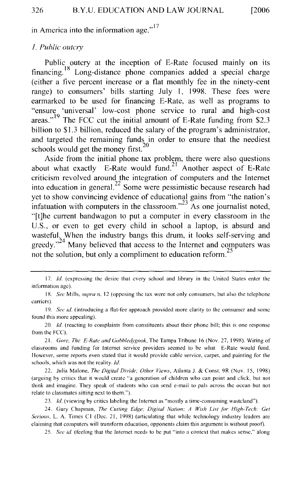in America into the information age." $17$ 

#### *I. Public outcry*

Public outcry at the inception of E-Rate focused mainly on its financing. 18 Long-distance phone companies added a special charge (either a five percent increase or a flat monthly fee in the ninety-cent range) to consumers' bills starting July I, 1998. These fees were earmarked to be used for financing E-Rate, as well as programs to "ensure 'universal' low-cost phone service to rural and high-cost areas."<sup>19</sup> The FCC cut the initial amount of E-Rate funding from \$2.3 billion to \$1.3 billion, reduced the salary of the program's administrator, and targeted the remaining funds in order to ensure that the neediest schools would get the money first. $^{20}$ 

Aside from the initial phone tax problem, there were also questions about what exactly E-Rate would fund.<sup>21</sup> Another aspect of E-Rate criticism revolved around the integration of computers and the Internet into education in general.<sup>22</sup> Some were pessimistic because research had yet to show convincing evidence of educational gains from "the nation's infatuation with computers in the classroom."<sup>23</sup> As one journalist noted, "[t]he current bandwagon to put a computer in every classroom in the U.S., or even to get every child in school a laptop, is absurd and wasteful. When the industry bangs this drum, it looks self-serving and greedy."<sup>24</sup> Many believed that access to the Internet and computers was not the solution, but only a compliment to education reform.<sup>25</sup>

20. *Id.* (reacting to complaints from constituents about their phone bill; this is one response from the FCC).

21. *Gore, The £-Rate and Gohhledygook,* The Tampa Tribune 16 (Nov. 27, 1998). Wiring of classrooms and funding for Internet service providers seemed to be what E-Rate would fund. However, some reports even stated that it would provide cable service, carpet, and painting for the schools, which was not the reality. *!d.* 

22. Julia Malone, *The Digital Divide; Other Views,* Atlanta J. & Cons!. 9R (Nov. 15, 1998) (arguing by critics that it would create "a generation of children who can point and click, but not think and imagine. They speak of students who can send e-mail to pals across the ocean but not relate to classmates sitting next to them.").

23. *!d.* (viewing by critics labeling the Internet as "mostly a time-consuming wasteland").

24. Gary Chapman, *The Cutting Edge; Digital Nation; A Wish List for High-Tech: Get Serious, L. A. Times C1 (Dec. 21, 1998) (articulating that while technology industry leaders are* claiming that computers will transform education, opponents claim this argument is without proof).

25. *See id.* (feeling that the Internet needs to be put "into a context that makes sense," along

<sup>17.</sup> *!d.* (expressing the desire that every school and library in the United States enter the information age).

IR. *See* Mills, *supra* n. 12 (opposing the tax were not only consumers, but also the telephone carriers).

<sup>19.</sup> *See id.* (introducing a flat-fee approach provided more clarity to the consumer and some found this more appealing).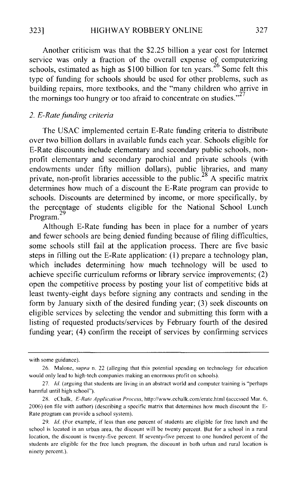Another criticism was that the \$2.25 billion a year cost for Internet service was only a fraction of the overall expense of computerizing schools, estimated as high as \$100 billion for ten years.<sup>26</sup> Some felt this type of funding for schools should be used for other problems, such as building repairs, more textbooks, and the "many children who arrive in the mornings too hungry or too afraid to concentrate on studies."<sup>27</sup>

#### *2. £-Rate funding criteria*

The USAC implemented certain E-Rate funding criteria to distribute over two billion dollars in available funds each year. Schools eligible for E-Rate discounts include elementary and secondary public schools, nonprofit elementary and secondary parochial and private schools (with endowments under fifty million dollars), public libraries, and many private, non-profit libraries accessible to the public.<sup>28</sup> A specific matrix determines how much of a discount the E-Rate program can provide to schools. Discounts are determined by income, or more specifically, by the percentage of students eligible for the National School Lunch 29 Program.

Although E-Rate funding has been in place for a number of years and fewer schools are being denied funding because of filing difficulties, some schools still fail at the application process. There are five basic steps in filling out the E-Rate application:  $(1)$  prepare a technology plan, which includes determining how much technology will be used to achieve specific curriculum reforms or library service improvements; (2) open the competitive process by posting your list of competitive bids at least twenty-eight days before signing any contracts and sending in the form by January sixth of the desired funding year; (3) seek discounts on eligible services by selecting the vendor and submitting this form with a listing of requested products/services by February fourth of the desired funding year; (4) confirm the receipt of services by confirming services

with some guidance).

<sup>26.</sup> Malone, *supra* n. 22 (alleging that this potential spending on technology for education would only lead to high-tech companies making an enormous profit on schools).

<sup>27.</sup> *Id.* (arguing that students are living in an abstract world and computer training is "perhaps" harmful until high school").

<sup>28.</sup> eChalk, *£-Rate Application Process,* http://www.echalk.com/erate.html (accessed Mar. 6, 2006) (on file with author) (describing a specific matrix that determines how much discount the E-Rate program can provide a school system).

<sup>29.</sup> Jd. (For example, if less than one percent of students are eligible for free lunch and the school is located in an urban area, the discount will be twenty percent. But for a school in a rural location, the discount is twenty-five percent. If seventy-five percent to one hundred percent of the students are eligible for the free lunch program, the discount in both urban and rural location is ninety percent.).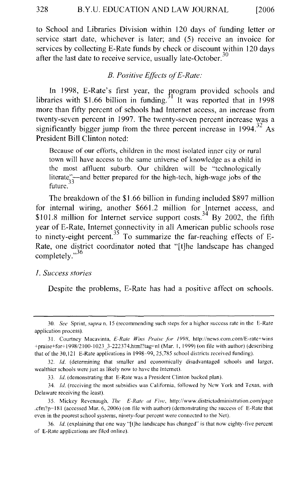to School and Libraries Division within 120 days of funding letter or service start date, whichever is later; and (5) receive an invoice for services by collecting E-Rate funds by check or discount within 120 days after the last date to receive service, usually late-October.<sup>30</sup>

#### *B. Positive Effects of E-Rate:*

In 1998, E-Rate's first year, the program provided schools and libraries with \$1.66 billion in funding.<sup>31</sup> It was reported that in 1998 more than fifty percent of schools had Internet access, an increase from twenty-seven percent in 1997. The twenty-seven percent increase was a significantly bigger jump from the three percent increase in  $1994^{32}$  As President Bill Clinton noted:

Because of our efforts, children in the most isolated inner city or rural town will have access to the same universe of knowledge as a child in the most affluent suburb. Our children will be "technologically literate"--and better prepared for the high-tech, high-wage jobs of the future.

The breakdown of the \$1.66 billion in funding included \$897 million for internal wiring, another \$661.2 million for Internet access, and \$101.8 million for Internet service support costs.<sup>34</sup> By 2002, the fifth year of E-Rate, Internet connectivity in all American public schools rose to ninety-eight percent.<sup>35</sup> To summarize the far-reaching effects of E-Rate, one district coordinator noted that "[t]he landscape has changed completely."<sup>36</sup>

#### *1. Success stories*

Despite the problems, E-Rate has had a positive affect on schools.

<sup>30.</sup> *See* Sprint, *supra* n. 15 (recommending such steps for a higher success rate in the E-Rate application process).

<sup>31.</sup> Courtney Macavinta, *E-Rate Wins Praise for 1998*, http://news.com.com/E-rate+wins +praise+for+ 1998/2100-1023 \_3-222374.html?tag=nl (Mar. I, 1999) (on file with author) (describing that of the 30,121 E-Rate applications in 1998-99, 25,785 school districts received funding).

<sup>32.</sup> *!d.* (determining that smaller and economically disadvantaged schools and larger, wealthier schools were just as likely now to have the Internet).

<sup>33.</sup> */d.* (demonstrating that E-Rate was a President Clinton backed plan).

<sup>34.</sup> */d.* (receiving the most subsidies was California, followed by New York and Texas, with Delaware receiving the least).

<sup>35.</sup> Mickey Revenaugh, *The £-Rate at Five,* http://www.districtadministration.com/page .cfm?p=ISI (accessed Mar. 6, 2006) (on tile with author) (demonstrating the success of E-Rate that even in the poorest school systems, ninety-four percent were connected to the Net).

<sup>36.</sup> *Id.* (explaining that one way "[t]he landscape has changed" is that now eighty-five percent of E-Rate applications are filed online).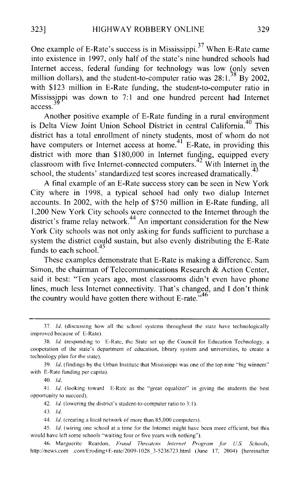One example of E-Rate's success is in Mississippi. 37 When E-Rate came into existence in 1997, only half of the state's nine hundred schools had Internet access, federal funding for technology was low (only seven million dollars), and the student-to-computer ratio was  $28:1.^{38}$  By 2002, with \$123 million in E-Rate funding, the student-to-computer ratio in Mississippi was down to  $7:1$  and one hundred percent had Internet access.

Another positive example of E-Rate funding in a rural environment is Delta View Joint Union School District in central California.<sup>40</sup> This district has a total enrollment of ninety students, most of whom do not have computers or Internet access at home.<sup>41</sup> E-Rate, in providing this district with more than \$180,000 in Internet funding, equipped every classroom with five Internet-connected computers.42 With Internet in the school, the students' standardized test scores increased dramatically.<sup>43</sup>

A final example of an E-Rate success story can be seen in New York City where in 1998, a typical school had only two dialup Internet accounts. In 2002, with the help of \$750 million in E-Rate funding, all 1,200 New York City schools were connected to the Internet through the district's frame relay network.<sup>44</sup> An important consideration for the New York City schools was not only asking for funds sufficient to purchase a system the district could sustain, but also evenly distributing the E-Rate funds to each school.<sup>45</sup>

These examples demonstrate that E-Rate is making a difference. Sam Simon, the chairman of Telecommunications Research & Action Center, said it best: "Ten years ago, most classrooms didn't even have phone lines, much less Internet connectivity. That's changed, and I don't think the country would have gotten there without E-rate. $146$ 

39. Id. (findings by the Urban Institute that Mississippi was one of the top nine "big winners" with E-Rate funding per capita).

40. *!d.* 

41. */d.* (looking toward E-Ratc as the "great equalizer" in giving the students the best opportunity to succeed).

42. *Id.* (lowering the district's student-to-computer ratio to 3:1).

43. *ld* 

44. *!d.* (creating a local network of more than 85,000 computers).

45. *!d.* (wiring one school at a time for the Internet might have been more efficient, but this would have left some schools "waiting four or five years with nothing").

46. Marguerite Reardon, *Fraud Threatens Internet Program for U.S. Schools*, http://news.com .com/Eroding+E-rate/2009-1028 3-5236723.html (June 17, 2004) [hereinafter

 $37.$  *Id.* (discussing how all the school systems throughout the state have technologically improved because of E-Rate).

<sup>38.</sup> */d.* (responding to E-Rate, the State set up the Council for Education Technology, a cooperation of the state's department of education, library system and universities, to create a technology plan for the state).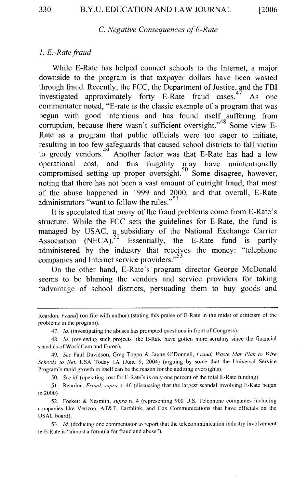#### C. *Negative Consequences of £-Rate*

#### *1. E.-Ratefraud*

While E-Rate has helped connect schools to the Internet, a major downside to the program is that taxpayer dollars have been wasted through fraud. Recently, the FCC, the Department of Justice, and the FBI investigated approximately forty E-Rate fraud cases. As one commentator noted, "E-rate is the classic example of a program that was begun with good intentions and has found itself suffering from corruption, because there wasn't sufficient oversight."<sup>48</sup> Some view E-Rate as a program that public officials were too eager to initiate, resulting in too few safeguards that caused school districts to fall victim to greedy vendors.<sup>49</sup> Another factor was that E-Rate has had a low operational cost, and this frugality may have unintentionally compromised setting up proper oversight.<sup>50</sup> Some disagree, however, noting that there has not been a vast amount of outright fraud, that most of the abuse happened in 1999 and 2000, and that overall, E-Rate administrators "want to follow the rules."<sup>51</sup>

It is speculated that many of the fraud problems come from E-Rate's structure. While the FCC sets the guidelines for E-Rate, the fund is managed by USAC, a subsidiary of the National Exchange Carrier Association (NECA).<sup>52</sup> Essentially, the E-Rate fund is partly administered by the industry that receives the money: "telephone companies and Internet service providers."<sup>53</sup>

On the other hand, E-Rate's program director George McDonald seems to be blaming the vendors and service providers for taking "advantage of school districts, persuading them to buy goods and

47. *!d.* (investigating the abuses has prompted questions in front of Congress).

50. *See id.* (operating cost for E-Rate's is only one percent of the total E-Rate funding).

51. Reardon, *Fraud, supra* n. 46 (discussing that the largest scandal involving E-Rate began in 2000).

52. Foskett & Nesmith, *supra* n. 4 (representing 900 U.S. Telephone companies including companies like Verizon, AT&T, Earthlink, and Cox Communications that have officials on the USAC board).

53. *!d.* (deducing one commentator to report that the telecommunication industry involvement in E-Rate is "almost a formula for fraud and abuse").

Reardon, *Fraud*] (on file with author) (stating this praise of E-Rate in the midst of criticism of the problems in the program).

<sup>48.</sup> *!d.* (reviewing such projects like E-Rate have gotten more scrutiny since the financial scandals of WorldCom and Enron).

<sup>49.</sup> *See* Paul Davidson, Greg Toppo & Jayne O'Donnell, *Fraud, Waste Mar Plan to Wire Schools to Net,* USA Today lA (June 9, 2004) (arguing by some that the Universal Service Program's rapid growth in itself can be the reason for the auditing oversights).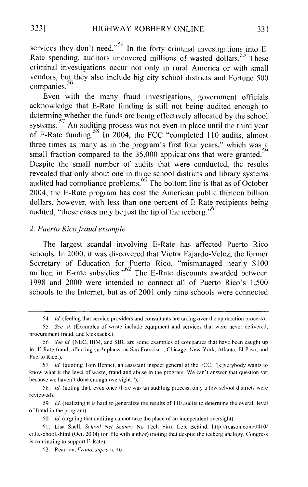services they don't need."<sup>54</sup> In the forty criminal investigations into E-Rate spending, auditors uncovered millions of wasted dollars.<sup>55</sup> These criminal investigations occur not only in rural America or with small vendors, but they also include big city school districts and Fortune 500 companies.<sup>56</sup>

Even with the many fraud investigations, government officials acknowledge that E-Rate funding is still not being audited enough to determine whether the funds are being effectively allocated by the school systems.  $57$  An auditing process was not even in place until the third year of E-Rate funding.<sup>58</sup> In 2004, the FCC "completed 110 audits, almost three times as many as in the program's first four years," which was a small fraction compared to the 35,000 applications that were granted.<sup>59</sup> Despite the small number of audits that were conducted, the results revealed that only about one in three school districts and library systems audited had compliance problems.<sup>60</sup> The bottom line is that as of October 2004, the E-Rate program has cost the American public thirteen billion dollars, however, with less than one percent of E-Rate recipients being audited, "these cases may be just the tip of the iceberg."<sup>61</sup>

#### *2. Puerto Rico fraud example*

The largest scandal involving E-Rate has affected Puerto Rico schools. In 2000, it was discovered that Victor Fajardo-Velez, the former Secretary of Education for Puerto Rico, "mismanaged nearly \$100 million in E-rate subsidies."<sup>62</sup> The E-Rate discounts awarded between 1998 and 2000 were intended to connect all of Puerto Rico's 1 ,500 schools to the Internet, but as of 2001 only nine schools were connected

<sup>54.</sup> *!d.* (feeling that service providers and consultants are taking over the application process).

<sup>55.</sup> *See id.* (Examples of waste include equipment and services that were never delivered. procurement fraud. and kickbacks.).

<sup>56.</sup> *See id.* (NEC, IBM, and SBC are some examples of companies that have been caught up in E-Ratc fraud, affecting such places as San Francisco, Chicago, New York, Atlanta, El Paso, and Puerto Rico.).

<sup>57.</sup> *Id.* (quoting Tom Bennet, an assistant inspect general at the FCC, "[e]verybody wants to know what is the level of waste, fraud and abuse in the program. We can't answer that question yet because we haven't done enough oversight.").

SR. *!d.* (noting that, even once there was an auditing process. only a few school districts were reviewed).

<sup>59.</sup> *!d.* (realizing it is hard to generalize the results of II 0 audits to detennine the overall level of fraud in the program).

<sup>60.</sup> *!d.* (arguing that auditing cannot take the place of an independent oversight).

<sup>61.</sup> Lisa Snell, *School Net Scams:* No Tech Firm Lett Behind, http://reason.com/041 0/ ci.ls.school.shtml (Oct. 2004) (on file with author) (noting that despite the iceberg analogy, Congress is continuing to support E-Rate).

<sup>62.</sup> Reardon, *Fraud, supra* n. 46.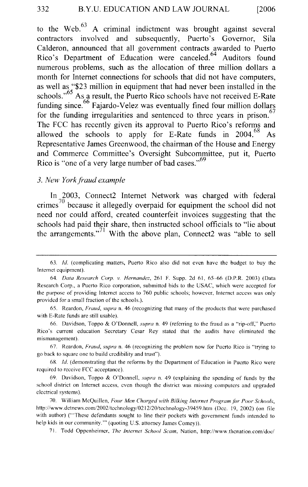to the Web. $^{63}$  A criminal indictment was brought against several contractors involved and subsequently, Puerto's Governor, Sila Calderon, announced that all government contracts awarded to Puerto Rico's Department of Education were canceled.<sup>64</sup> Auditors found numerous problems, such as the allocation of three million dollars a month for Internet connections for schools that did not have computers, as well as "\$23 million in equipment that had never been installed in the schools."<sup>65</sup> As a result, the Puerto Rico schools have not received E-Rate funding since. $66$  Fajardo-Velez was eventually fined four million dollars for the funding irregularities and sentenced to three years in prison. $67$ The FCC has recently given its approval to Puerto Rico's reforms and allowed the schools to apply for E-Rate funds in  $2004$ <sup>68</sup> As Representative James Greenwood, the chairman of the House and Energy and Commerce Committee's Oversight Subcommittee, put it, Puerto Rico is "one of a very large number of bad cases."<sup>69</sup>

#### *3. New York fraud example*

In 2003, Connect2 Internet Network was charged with federal crimes<sup> $10$ </sup> because it allegedly overpaid for equipment the school did not need nor could afford, created counterfeit invoices suggesting that the schools had paid their share, then instructed school officials to "lie about the arrangements."<sup>71</sup> With the above plan, Connect2 was "able to sell

66. Davidson, Toppo & O'Donnell, *supra* n. 49 (referring to the fraud as a "rip-off," Puerto Rico's current education Secretary Cesar Rey stated that the audits have eliminated the mismanagement).

67. Reardon, *Fraud, supra* n. 46 (recognizing the problem now for Puerto Rico is "trying to go back to square one to build credibility and trust").

6K *!d.* (demonstrating that the reforms by the Department of Education in Puerto Rico were required to receive FCC acceptance).

69. Davidson, Toppo & O'Donnell, *supra* n. 49 (explaining the spending of funds by the school district on Internet access, even though the district was missing computers and upgraded electrical systems).

70. William McQuillen, *Four Men Charged with Bilking Internet Programfhr Poor Schools,*  http://www.dctnews.com/2002/technology/0212/20/technology-39459.htm (Dec. 19, 2002) (on file with author) ("These defendants sought to line their pockets with government funds intended to help kids in our community."' (quoting U.S. attorney James Comey)).

71. Todd Oppenheimer, *The Internet School Scam,* Nation, http://www.thcnation.com/doc/

<sup>63.</sup> */d.* (complicating matters, Puerto Rico also did not even have the budget to buy the Internet equipment).

<sup>64.</sup> *Data Research Corp. v. Hernandez,* 261 F. Supp. 2d 61, 65-66 (D.P.R. 2003) (Data Research Corp., a Puerto Rico corporation, submitted bids to the USAC, which were accepted for the purpose of providing Internet access to 760 public schools; however, Internet access was only provided for a small fraction of the schools.).

<sup>65.</sup> Reardon, *Fraud, supra* n. 46 (recognizing that many of the products that were purchased with E-Rate funds are still usable).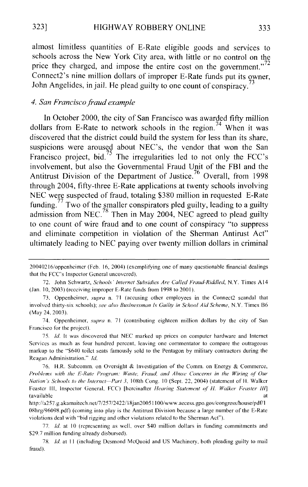almost limitless quantities of E-Rate eligible goods and services to schools across the New York City area, with little or no control on the price they charged, and impose the entire cost on the government."<sup>72</sup> Connect2's nine million dollars of improper E-Rate funds put its owner, John Angelides, in jail. He plead guilty to one count of conspiracy.

#### *4. San Francisco fraud example*

In October 2000, the city of San Francisco was awarded fifty million dollars from E-Rate to network schools in the region.<sup>74</sup> When it was discovered that the district could build the system for less than its share, suspicions were aroused about NEC's, the vendor that won the San Francisco project, bid.<sup>75</sup> The irregularities led to not only the FCC's involvement, but also the Governmental Fraud Unit of the FBI and the Antitrust Division of the Department of Justice.<sup>76</sup> Overall, from 1998 through 2004, fifty-three E-Rate applications at twenty schools involving NEC were suspected of fraud, totaling \$380 million in requested E-Rate funding.<sup>77</sup> Two of the smaller conspirators pled guilty, leading to a guilty admission from NEC.<sup>78</sup> Then in May 2004, NEC agreed to plead guilty to one count of wire fraud and to one count of conspiracy "to suppress and eliminate competition in violation of the Sherman Antirust Act" ultimately leading to NEC paying over twenty million dollars in criminal

<sup>20040216/</sup>oppenheimcr (Feb. 16, 2004) (exemplifying one of many questionable financial dealings that the FCC's Inspector General uncovered).

<sup>72.</sup> John Schwartz, *Schools· Interne/ Subsidies Are Called Fraud-Riddled,* N.Y. Times Al4 (Jan. 10, 2003) (receiving improper E-Rate funds from 1998 to 2001).

<sup>73.</sup> Oppenheimer, *supra* n. 71 (accusing other employees in the Connect2 scandal that involved thirty-six schools); *see also Businessman Is Guilty in School Aid Scheme,* N.Y. Times 86 (May 24, 2003).

<sup>74.</sup> Oppenheimer, *supra* n. 71 (contributing eighteen million dollars by the city of San Francisco for the project).

<sup>75.</sup> *!d.* It was discovered that NEC marked up prices on computer hardware and Internet Services as much as four hundred percent, leaving one commentator to compare the outrageous markup to the "\$640 toilet seats famously sold to the Pentagon by military contractors during the Reagan Administration." *!d.* 

<sup>76.</sup> H.R. Subcomm. on Oversight & Investigation of the Comm. on Energy & Commerce, *Prohlems with the E-Rate Program: Waste, Fraud, and Abuse Concerns in the Wiring of Our Nation's Schools to the Internet-Part 3, 108th Cong. 10 (Sept. 22, 2004) (statement of H. Walker* Feaster Ill, Inspector General, FCC) [hereinafter *Hearing Statement of'* H. *Walker Feaster* Iff] (available at a state of  $\alpha$ ) and  $\alpha$  at a state of  $\alpha$  at a state of  $\alpha$  at a state of  $\alpha$  at a state of  $\alpha$  at a state of  $\alpha$  at a state of  $\alpha$  at a state of  $\alpha$  at a state of  $\alpha$  at a state of  $\alpha$  at a state

http://a257.g.akamaitech.net/7/257/2422/18jan20051100/www.access.gpo.gov/congress/house/pdf/1 08hrg/9609R.pdf) (coming into play is the Antitrust Division because a large number of the E-Rate violations deal with "bid rigging and other violations related to the Sherman Act").

<sup>77.</sup> *Id.* at 10 (representing as well, over \$40 million dollars in funding commitments and \$29.7 million funding already disbursed).

<sup>7</sup>S. *!d.* at II (including Desmond McQuoid and US Machinery, both pleading guilty to mail fraud).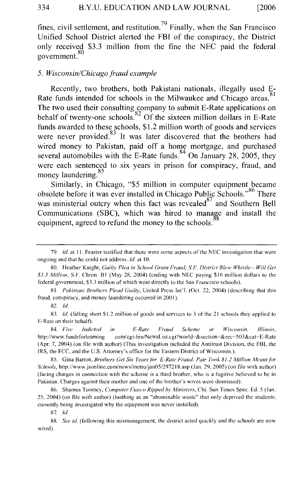fines, civil settlement, and restitution.<sup>79</sup> Finally, when the San Francisco Unified School District alerted the FBI of the conspiracy, the District only received \$3.3 million from the fine the NEC paid the federal 80 government.

#### *5. Wisconsin/Chicago fraud example*

Recently, two brothers, both Pakistani nationals, illegally used E-Rate funds intended for schools in the Milwaukee and Chicago areas.<sup>81</sup> The two used their consulting company to submit E-Rate applications on behalf of twenty-one schools.  $82$  Of the sixteen million dollars in E-Rate funds awarded to these schools, \$1.2 million worth of goods and services were never provided.<sup>83</sup> It was later discovered that the brothers had wired money to Pakistan, paid off a home mortgage, and purchased several automobiles with the E-Rate funds.  $84$  On January 28, 2005, they were each sentenced to six years in prison for conspiracy, fraud, and were each semenced  $\frac{85}{100}$ 

Similarly, in Chicago, "\$5 million in computer equipment became obsolete before it was ever installed in Chicago Public Schools."<sup>86</sup> There was ministerial outcry when this fact was revealed  $87$  and Southern Bell Communications (SBC), which was hired to manage and install the equipment, agreed to refund the money to the schools.

87. *!d.* 

88. *See id.* (following this mismanagement, the district acted quickly and the schools are now wired).

<sup>79.</sup> *!d.* at II. Feaster testified that there were some aspects of the NEC investigation that were ongoing and that he could not address. *ld.* at 10.

<sup>80.</sup> Heather Knight, *Guilty Plea in School Grant Fraud; S.F. District Blew Whistle--Will Get \$3.3 Million,* S.F. Chron. B I (May 28, 2004) (ending with NEC paying \$16 million dollars to the federal government, \$3.3 million of which went directly to the San Francisco schools).

<sup>81.</sup> *Pakistani Brothers Plead Guilty,* United Press lnt'l. (Oct. 22, 2004) (describing that this fraud, conspiracy, and money laundering occurred in 2001).

<sup>82.</sup> *!d.* 

<sup>83.</sup> *!d.* (falling short \$1.2 million of goods and services to 3 of the 21 schools they applied to E-Rate on their behalf).

<sup>84.</sup> *Five Indicted in £-Rate Fraud Scheme in Wisconsin, lllinois,*  http://www.fundsforlearning .com/cgi-bin/NewsList.cgi?world=&section=&rec=503&cat=E-Rate (Apr. 7, 2004) (on file with author) (This investigation included the Antitrust Division, the FBI, the IRS, the FCC, and the U.S. Attorney's office for the Eastern District of Wisconsin.).

<sup>85.</sup> Gina Barton, *Brothers Get Six Years for E-Rate Fraud: Pair Took \$1.2 Million Meant for Schools,* http://www.jsonline.com/news/metro/jan05/297218.asp (Jan. 29, 2005) (on file with author) (facing charges in connection with the scheme is a third brother, who is a fugitive believed to be in Pakistan. Charges against their mother and one of the brother's wives were dismissed).

<sup>86.</sup> Shamus Toomey, *Computer Fiasco Ripped hy Ministers,* Chi. Sun Times Spec. Ed. 5 (Jan. 25, 2004) (on file with author) (loathing as an "abominable waste" that only deprived the students; currently being investigated why the equipment was never installed).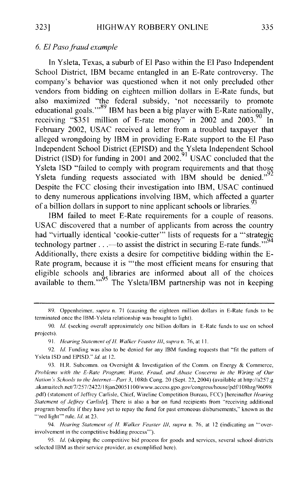#### *6. El Paso fraud example*

In Y sleta, Texas, a suburb of El Paso within the El Paso Independent School District, IBM became entangled in an E-Rate controversy. The company's behavior was questioned when it not only precluded other vendors from bidding on eighteen million dollars in E-Rate funds, but also maximized "the federal subsidy, 'not necessarily to promote educational goals."<sup>89</sup> IBM has been a big player with E-Rate nationally, receiving "\$351 million of E-rate money" in 2002 and  $2003$ .<sup>90</sup> In February 2002, USAC received a letter from a troubled taxpayer that alleged wrongdoing by IBM in providing E-Rate support to the El Paso Independent School District (EPISD) and the Ysleta Independent School District (ISD) for funding in  $2001$  and  $2002.<sup>91</sup>$  USAC concluded that the Y sleta ISD "failed to comply with program requirements and that those Ysleta funding requests associated with IBM should be denied."<sup>92</sup> Despite the FCC closing their investigation into IBM, USAC continued to deny numerous applications involving IBM, which affected a quarter of a billion dollars in support to nine applicant schools or libraries.

IBM failed to meet E-Rate requirements for a couple of reasons. USAC discovered that a number of applicants from across the country had "virtually identical 'cookie-cutter"' lists of requests for a "'strategic technology partner  $\dots$  -to assist the district in securing E-rate funds.  $\cdot$ <sup>594</sup> Additionally, there exists a desire for competitive bidding within the E-Rate program, because it is '"the most efficient means for ensuring that eligible schools and libraries are informed about all of the choices available to them."<sup>95</sup> The Ysleta/IBM partnership was not in keeping

94. *Hearing Statement of* H. *Walker Feaster Ill, supra* n. 76, at 12 (indicating an '"overinvolvement in the competitive bidding process'").

95. */d.* (skipping the competitive bid process for goods and services, several school districts selected IBM as their service provider, as exemplified here).

S9. Oppenheimer, *supra* n. 71 (causing the eighteen million dollars in E-Rate funds to be terminated once the IBM-Ysleta relationship was brought to light).

<sup>90.</sup> *Id.* (seeking overall approximately one billion dollars in E-Rate funds to use on school projects).

<sup>91.</sup> *Hearing Statement ofH. Walker Feaster Ill, supra* n. 76, at II.

<sup>92.</sup> */d.* Funding was also to be denied for any IBM funding requests that "fit the pattern of Yslcta lSD and EPISD." */d.* at 12.

<sup>93.</sup> H.R. Subcomm. on Oversight & Investigation of the Comm. on Energy & Commerce, *Prohlems with the £-Rate Program: Waste, Fraud, and Ahuse Concerns in the Wiring of Our Nation's Schools to the Internet-Part 3,* 108th Cong. 20 (Sept. 22, 2004) (available at http://a257.g .akamaitech.net/7/257/2422/18jan20051100/www.access.gpo.gov/congress/house/pdf/108hrg/96098 .pdf) (statement of Jeffrey Carlisle, Chief, Wireline Competition Bureau, FCC) [hereinafter *Hearing Statement of Jeffrey Carlisle].* There is also a bar on fund recipients from "receiving additional program benefits if they have yet to repay the fund for past erroneous disbursements," known as the '"red light'" rule. *!d.* at 23.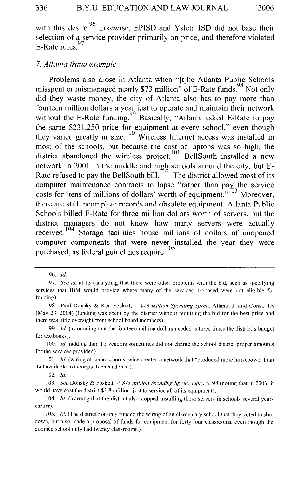with this desire.<sup>96</sup> Likewise, EPISD and Ysleta ISD did not base their selection of a service provider primarily on price, and therefore violated E-Rate rules.

#### 7. *Atlanta fraud example*

Problems also arose in Atlanta when "[t]he Atlanta Public Schools misspent or mismanaged nearly \$73 million" of E-Rate funds. Not only did they waste money, the city of Atlanta also has to pay more than fourteen million dollars a year just to operate and maintain their network without the E-Rate funding.<sup>99</sup> Basically, "Atlanta asked E-Rate to pay the same \$231,250 price for equipment at every school," even though they varied greatly in size.  $100$  Wireless Internet access was installed in most of the schools, but because the cost of laptops was so high, the district abandoned the wireless project.  $\frac{101}{2}$  BellSouth installed a new network in 2001 in the middle and high schools around the city, but E-Rate refused to pay the BellSouth bill.<sup>102</sup> The district allowed most of its computer maintenance contracts to lapse "rather than pay the service costs for 'tens of millions of dollars' worth of equipment."<sup>103</sup> Moreover, there are still incomplete records and obsolete equipment. Atlanta Public Schools billed E-Rate for three million dollars worth of servers, but the district managers do not know how many servers were actually received.<sup>104</sup> Storage facilities house millions of dollars of unopened computer components that were never installed the year they were purchased, as federal guidelines require.<sup>105</sup>

102. */d.* 

<sup>96.</sup> */d.* 

<sup>97.</sup> *See id.* at 13 (analyzing that there were other problems with the bid, such as specifying services that IBM would provide where many of the services proposed were not eligible for funding).

<sup>98.</sup> Paul Donsky & Ken Foskett, *A \$73 million Spending Spree,* Atlanta J. and Const. I A (May 23, 2004) (funding was spent by the district without requiring the bid for the best price and there was little oversight from school board members).

<sup>99.</sup> */d.* (astounding that the fourteen million dollars needed is three times the district's budget for textbooks).

<sup>100.</sup> *Id.* (adding that the vendors sometimes did not charge the school district proper amounts for the services provided).

<sup>101.</sup> *Id.* (wiring of some schools twice created a network that "produced more horsepower than that available to Georgia Tech students").

I 03. *See* Donsky & Foskett, *A \$73 million Spending Spree, supra* n. 98 (noting that in 2003, it would have cost the district \$3.8 million, just to service all of its equipment).

<sup>104.</sup> *Id.* (learning that the district also stopped installing those servers in schools several years earlier).

<sup>105.</sup> *Id.* (The district not only funded the wiring of an elementary school that they voted to shut down, but also made a proposal of funds for equipment for forty-four classrooms, even though the doomed school only had twenty classrooms.).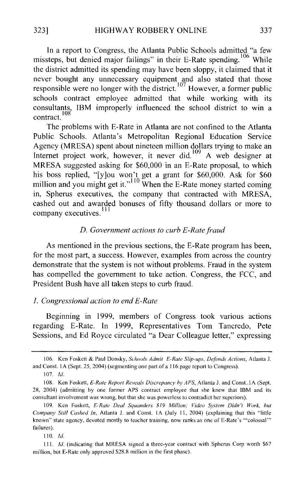In a report to Congress, the Atlanta Public Schools admitted "a few missteps, but denied major failings" in their E-Rate spending.<sup>106</sup> While the district admitted its spending may have been sloppy, it claimed that it never bought any unnecessary equipment and also stated that those responsible were no longer with the district.<sup>107</sup> However, a former public schools contract employee admitted that while working with its consultants, IBM improperly influenced the school district to win a contract.<sup>108</sup>

The problems with E-Rate in Atlanta are not confined to the Atlanta Public Schools. Atlanta's Metropolitan Regional Education Service Agency (MRESA) spent about nineteen million dollars trying to make an Internet project work, however, it never did.<sup>109</sup> A web designer at MRESA suggested asking for \$60,000 in an E-Rate proposal, to which his boss replied, "[y]ou won't get a grant for \$60,000. Ask for \$60 million and you might get it."<sup>110</sup> When the E-Rate money started coming in, Spherus executives, the company that contracted with MRESA, cashed out and awarded bonuses of fifty thousand dollars or more to company executives.<sup>111</sup>

#### *D. Government actions to curb £-Rate fraud*

As mentioned in the previous sections, the E-Rate program has been, for the most part, a success. However, examples from across the country demonstrate that the system is not without problems. Fraud in the system has compelled the government to take action. Congress, the FCC, and President Bush have all taken steps to curb fraud.

#### *1. Congressional action to end £-Rate*

Beginning in 1999, members of Congress took various actions regarding E-Rate. In 1999, Representatives Tom Tancredo, Pete Sessions, and Ed Royce circulated "a Dear Colleague letter," expressing

110. Jd.

<sup>106.</sup> Ken Foskett & Paul Donsky, *Schools Admit £-Rate Slip-ups, Def'ends Actions,* Atlanta J. and Const. 1A (Sept. 25, 2004) (segmenting one part of a 116 page report to Congress).

<sup>107.</sup> *!d.* 

<sup>108.</sup> Ken Foskett, *E-Rate Report Reveals Discrepancy by APS*, Atlanta J. and Const..1A (Sept. 28, 2004) (admitting by one former APS contract employee that she knew that IBM and its consultant involvement was wrong, but that she was powerless to contradict her superiors).

<sup>109.</sup> Ken Foskett, *£-Rate Deal Squanders \$19 Million; Video System Didn't Work, but Company Still Cashed In, Atlanta J. and Const. 1A (July 11, 2004) (explaining that this "little* known" state agency, devoted mostly to teacher training, now ranks as one of E-Rate's '"colossal'" failures).

Ill. Jd. (indicating that MRESA signed a three-year contract with Spherus Corp worth \$67 million, but E-Rate only approved \$2R.8 million in the first phase).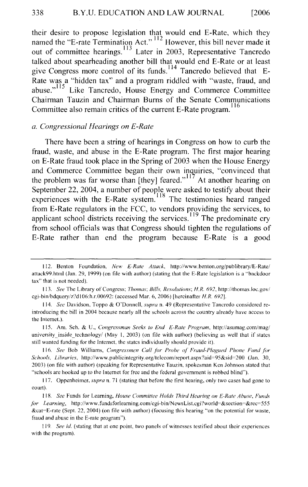their desire to propose legislation that would end E-Rate, which they named the "E-rate Termination Act." 112 However, this bill never made it out of committee hearings.<sup>113</sup> Later in 2003, Representative Tancredo talked about spearheading another bill that would end E-Rate or at least give Congress more control of its funds.<sup>114</sup> Tancredo believed that E-Rate was a "hidden tax" and a program riddled with "waste, fraud, and abuse."<sup>115</sup> Like Tancredo, House Energy and Commerce Committee Chairman Tauzin and Chairman Bums of the Senate Communications Committee also remain critics of the current E-Rate program.<sup>116</sup>

#### *a. Congressional Hearings on £-Rate*

There have been a string of hearings in Congress on how to curb the fraud, waste, and abuse in the E-Rate program. The first major hearing on E-Rate fraud took place in the Spring of 2003 when the House Energy and Commerce Committee began their own inquiries, "convinced that the problem was far worse than [they] feared."<sup>117</sup> At another hearing on September 22, 2004, a number of people were asked to testify about their experiences with the E-Rate system.<sup>118</sup> The testimonies heard ranged from E-Rate regulators in the FCC, to vendors providing the services, to applicant school districts receiving the services.<sup>119</sup> The predominate cry from school officials was that Congress should tighten the regulations of E-Rate rather than end the program because E-Rate is a good

<sup>112.</sup> Benton Foundation, *New £-Rate Attack,* http://www.benton.org/publibrary/E-Rate/ attack99.html (Jan. 29, 1999) (on file with author) (stating that the E-Rate legislation is a "backdoor tax" that is not needed).

<sup>113.</sup> *See* The Library of Congress; *Thomas; Bills, Resolutions; HR. 692,* http://thomas.loc.gov/ cgi-bin/bdquery/z'?dl06:h.r.00692: (accessed Mar. 6, 2006) [hereinafter *H.R. 692].* 

<sup>114.</sup> *See* Davidson, Toppo & O'Donnell, *supra* n. 49 (Representative Tancredo considered re· introducing the bill in 2004 because nearly all the schools across the country already have access to the Internet.).

I I5. Am. Sch. & U., *Congressman Seeks to End £-Rate Program,* http://asumag.com/mag/ university inside technology/ (May 1, 2003) (on file with author) (believing as well that if states still wanted funding for the Internet, the states individually should provide it).

<sup>116.</sup> See Bob Williams, *Congressmen Call for Probe of Fraud-Plagued Phone Fund for Schools, Libraries,* http://www.publicintegrity.org/telecom/report.aspx?aid~95&sid~200 (Jan. 30, 2003) (on tile with author) (speaking for Representative Tauzin, spokesman Ken Johnson stated that "schools are hooked up to the Internet for free and the federal government is robbed blind").

<sup>117.</sup> Oppenheimer, *supra* n. 71 (stating that before the first hearing, only two cases had gone to court).

<sup>118.</sup> See Funds for Learning, *House Committee Holds Third Hearing on E-Rate Abuse*, *Funds for Learning,* http://www.fundsforlearning.com/cgi-bin/NewsList.cgi?world=&section=&rec=555 &cat~E-rate (Sept. 22, 2004) (on file with author) (focusing this hearing "on the potential for waste, fraud and abuse in the E-rate program").

<sup>119.</sup> *See id.* (stating that at one point, two panels of witnesses testified about their experiences with the program).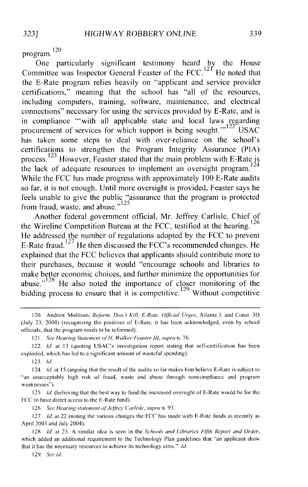program.<sup>120</sup>

One particularly significant testimony heard by the House Committee was Inspector General Feaster of the FCC.<sup>12T</sup> He noted that the E-Rate program relies heavily on "applicant and service provider certifications," meaning that the school has "all of the resources, including computers, training, software, maintenance, and electrical connections" necessary for using the services provided by E-Rate, and is in compliance "'with all applicable state and local laws regarding procurement of services for which support is being sought." $122^{\circ}$  USAC has taken some steps to deal with over-reliance on the school's certifications to strengthen the Program Integrity Assurance (PIA) process.<sup>123</sup> However, Feaster stated that the main problem with E-Rate is  $\frac{124}{124}$ the lack of adequate resources to implement an oversight program. While the FCC has made progress with approximately 100 E-Rate audits so far, it is not enough. Until more oversight is provided, Feaster says he feels unable to give the public "assurance that the program is protected from fraud, waste, and abuse." $125$ 

Another federal government official, Mr. Jeffrey Carlisle, Chief of the Wireline Competition Bureau at the FCC, testified at the hearing.  $126$ He addressed the number of regulations adopted by the FCC to prevent E-Rate fraud. 127 He then discussed the FCC's recommended changes. He explained that the FCC believes that applicants should contribute more to their purchases, because it would "encourage schools and libraries to make better economic choices, and further minimize the opportunities for abuse."<sup>128</sup> He also noted the importance of closer monitoring of the bidding process to ensure that it is competitive.<sup>129</sup> Without competitive

123. *!d.* 

126. See Hearing statement of Jeffrey Carlisle, supra n. 93.

127. *Id.* at 22 (noting the various changes the FCC has made with E-Rate funds as recently as April 2003 and July 2004).

128. */d.* at 23. A similar idea is seen in the *Schools and Libraries Fijih Report and Order,*  which added an additional requirement to the Technology Plan guidelines that "an applicant show that it has the necessary resources to achieve its technology aims." *!d.* 

129. *See id.* 

<sup>120.</sup> Andrew Mollison, *Reform, Don't Kill, E-Rate, Official Urges*, Atlanta J. and Const. 3D (July 23, 2004) (recognizing the positives of E-Rate, it has been acknowledged, even by school officials, that the program needs to be reformed).

<sup>121.</sup> *See Hearing Statement* ofH. *Walker Feaster* Ill, *supra* n. 76.

<sup>122.</sup> *Id.* at 13 (quoting USAC's investigation report stating that self-certification has been exploited, which has led to a significant amount of wasteful spending).

<sup>124.</sup> */d.* at 15 (arguing that the result of the audits so far makes him believe E-Rate is subject to "an unacceptably high risk of fraud, waste and abuse through noncompliance and program weaknesses").

<sup>125.</sup> *!d.* (believing that the best way to fund the increased oversight of E-Rate would be for the FCC to have direct access to the E-Rate fund).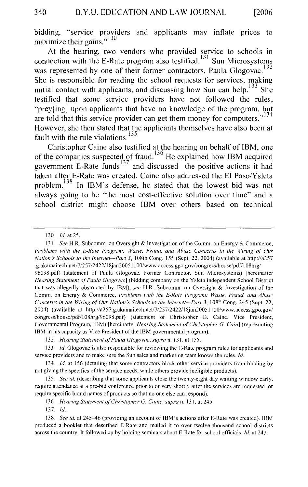bidding, "service providers and applicants may inflate prices to maximize their gains."<sup>130</sup>

At the hearing, two vendors who provided service to schools in connection with the E-Rate program also testified.<sup>131</sup> Sun Microsystems was represented by one of their former contractors, Paula Glogovac.<sup>132</sup> She is responsible for reading the school requests for services, making initial contact with applicants, and discussing how Sun can help.  $133$  She testified that some service providers have not followed the rules, "prey[ing] upon applicants that have no knowledge of the program, but are told that this service provider can get them money for computers."<sup>134</sup> However, she then stated that the applicants themselves have also been at fault with the rule violations.<sup>135</sup>

Christopher Caine also testified at the hearing on behalf of IBM, one of the companies suspected of fraud.<sup>136</sup> He explained how IBM acquired government E-Rate funds $137$  and discussed the positive actions it had taken after E-Rate was created. Caine also addressed the El Paso/Y sleta problem.<sup>138</sup> In IBM's defense, he stated that the lowest bid was not always going to be "the most cost-effective solution over time" and a school district might choose IBM over others based on technical

96098.pdf) (statement of Paula Glogovac, Former Contractor, Sun Microsystems) [hereinafter *Hearing Statement ojPaula Glogovac]* (bidding company on the Yslcta independent School District that was allegedly obstructed by IBM); *see* H.R. Subcomm. on Oversight & Investigation of the Comm. on Energy & Commerce, *Problems with the £-Rate Program: Waste, Fraud. and Abuse Concerns in the Wiring of Our Nation's Schools to the Internet--Part 3, 108<sup>th</sup> Cong. 245 (Sept. 22,* 2004) (available at http://a257.g.akamaitech.net/7/257/2422/18jan200511 OO/www.access.gpo.gov/ congress/house/pdf/! 08hrg/96098.pdf) (statement of Christopher G. Caine, Vice President, Governmental Program, IBM) [hereinafter *Hearing Statement of' Christopher G. Cain]* (representing IBM in his capacity as Vice President of the IBM governmental program).

137. *!d.* 

<sup>130.</sup> *!d.* at 25.

<sup>131.</sup> *See* H.R. Subcomm. on Oversight & Investigation of the Comm. on Energy & Commerce, *Problems with the £-Rate Program: Waste, Fraud, and Abuse Concerns in the Wiring of' Our Nation's Schools to the Internet-Part 3,* I 08th Cong. 155 (Sept. 22, 2004) (available at http://a257 .g.akamaitech.net/7 /257 /2422/18jan200511 OO/www.access.gpo.gov/congress/housc/pdf/ I 08hrg/

<sup>132.</sup> *Hearing Statement ofPaula Glogovac, supra* n. 131, at 155.

<sup>133.</sup> *!d.* Glogovac is also responsible for reviewing the E-Rate program rules for applicants and service providers and to make sure the Sun sales and marketing team knows the rules. *!d.* 

<sup>134.</sup> *!d.* at 156 (detailing that some contractors block other service providers from bidding by not giving the specifics of the service needs, while others provide ineligible products).

<sup>135.</sup> *See id.* (describing that some applicants close the twenty-eight day waiting window early, require attendance at a pre-bid conference prior to or very shortly after the services are requested, or require specific brand names of products so that no one else can respond).

<sup>136.</sup> *Hearing Statement of Christopher G. Caine, supra* n. 131, at 245.

<sup>138.</sup> *See id.* at 245-46 (providing an account of IBM's actions after E-Rate was created). IBM produced a booklet that described E-Rate and mailed it to over twelve thousand school districts across the country. It followed up by holding seminars about E-Rate for school officials. *!d.* at 247.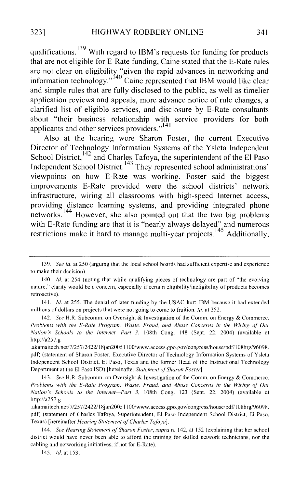qualifications.  $139$  With regard to IBM's requests for funding for products that are not eligible for E-Rate funding, Caine stated that the E-Rate rules are not clear on eligibility "given the rapid advances in networking and are not clear on englomly given the rapid advances in hetworking and information technology."<sup>140</sup> Caine represented that IBM would like clear and simple rules that are fully disclosed to the public, as well as timelier application reviews and appeals, more advance notice of rule changes, a clarified list of eligible services, and disclosure by E-Rate consultants about "their business relationship with service providers for both applicants and other services providers."<sup>141</sup>

Also at the hearing were Sharon Foster, the current Executive Director of Technology Information Systems of the Y sleta Independent School District,  $142$  and Charles Tafoya, the superintendent of the El Paso Independent School District.<sup>143</sup> They represented school administrations' viewpoints on how E-Rate was working. Foster said the biggest improvements E-Rate provided were the school districts' network infrastructure, wiring all classrooms with high-speed Internet access, providing distance learning systems, and providing integrated phone networks.<sup>144</sup> However, she also pointed out that the two big problems with E-Rate funding are that it is "nearly always delayed" and numerous restrictions make it hard to manage multi-year projects.<sup>145</sup> Additionally,

<sup>139.</sup> *See id.* at 250 (arguing that the local school boards had sufficient expertise and experience to make their decision).

<sup>140.</sup> *!d.* at 254 (noting that while qualifying pieces of technology are part of "the evolving nature,"' clarity would be a concern, especially if certain eligibility/ineligibility of products becomes retroactive).

<sup>141.</sup> *Id.* at 255. The denial of later funding by the USAC hurt IBM because it had extended millions of dollars on projects that were not going to come to fruition. *!d.* at 252.

<sup>142.</sup> *See* H.R. Subcomm. on Oversight & Investigation of the Comm. on Energy & Commerce, *Problems with the £-Rate Program: Waste, Fraud. and Abuse Concerns in the Wiring ol Our Nation's Schools to the Internet-Part 3,* 108th Cong. 148 (Sept. 22, 2004) (available at http://a257.g

<sup>.</sup>akamaitech.net/7 /257 /2422/l8jan2005l I OO/www.access.gpo.gov/congress/house/pdf/l OShrg/96098. pdf) (statement of Sharon Foster, Executive Director of Technology Information Systems of Y slcta Independent School District, El Paso, Texas and the former Head of the Instructional Technology Department at the El Paso lSD) [hereinafter *Statement oj'Sharon Foster].* 

<sup>143.</sup> *See* H.R. Subcomm. on Oversight & Investigation of the Comm. on Energy & Commerce, *Problems with the £-Rate Program: Waste, Fraud, and Abuse Concerns in the Wiring ol Our Nation's Schools to the Internet-Part 3,* l08th Cong. 123 (Sept. 22, 2004) (available at http://a257.g

<sup>.</sup>akamaitech.net/7/257 /2422/ l8jan2005 I I OO/www.access.gpo.gov/congress/house/pdf/ I OShrg/96098. pdf) (statement of Charles Tafoya, Superintendent, El Paso Independent School District, El Paso, Texas) [hereinafter *Hearing Statement of Charles Tafoya*].

<sup>144.</sup> *See Hearing Statement oj'Sharon Foster, supra* n. 142, at !52 (explaining that her school district would have never been able to afford the training for skilled network technicians, nor the cabling and networking initiatives, if not for E-Rate).

<sup>145.</sup> *!d.* at 153.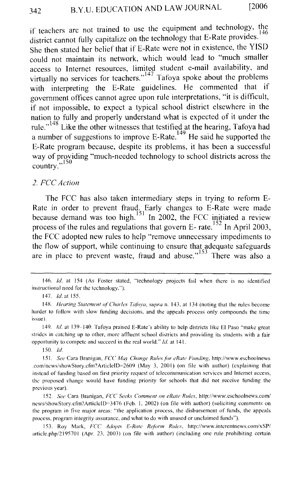if teachers are not trained to use the equipment and technology, the district cannot fully capitalize on the technology that E-Rate provides.<sup>146</sup> She then stated her belief that if E-Rate were not in existence, the YISD could not maintain its network, which would lead to "much smaller access to Internet resources, limited student e-mail availability, and witually no services for teachers."<sup>147</sup> Tafoya spoke about the problems with interpreting the E-Rate guidelines. He commented that if government offices cannot agree upon rule interpretations, "it is difficult, if not impossible, to expect a typical school district elsewhere in the nation to fully and properly understand what is expected of it under the rule."<sup>148</sup> Like the other witnesses that testified at the hearing, Tafoya had a number of suggestions to improve E-Rate.<sup>149</sup> He said he supported the E-Rate program because, despite its problems, it has been a successful way of providing "much-needed technology to school districts across the country."<sup>150</sup>

#### *2. FCC Action*

The FCC has also taken intermediary steps in trying to reform E-Rate in order to prevent fraud. Early changes to E-Rate were made because demand was too high.<sup>151</sup> In 2002, the FCC initiated a review process of the rules and regulations that govern E- rate.<sup>152</sup> In April 2003, the FCC adopted new rules to help "remove unnecessary impediments to the flow of support, while continuing to ensure that adequate safeguards are in place to prevent waste, fraud and abuse." 153 There was also a

150. *!d.* 

153. Roy Mark, *FCC Adopts E-Rate Reform Rules*, http://www.interentnews.com/xSP/ article.php/2195701 (Apr. 23. 2003) (on file with author) (including one rule prohibiting certain

<sup>146.</sup> *!d.* at 154 (As Foster stated, "technology projects fail when there is no identified instructional need for the technology.").

<sup>147.</sup> *Id.at155.* 

<sup>148.</sup> *Hearing Statement of Charles Tafoya, supra n.* 143, at 134 (noting that the rules become harder to follow with slow funding decisions, and the appeals process only compounds the time issue).

<sup>149.</sup> *!d.* at 139-140. Tafoya praised E-Rate's ability to help districts like El Paso "make great strides in catching up to other, more affluent school districts and providing its students with a fair opportunity to compete and succeed in the real world." *!d.* at 141.

<sup>151.</sup> *See* Cara Branigan, *FCC May Change Rules fiu· cRate Funding,* http://www.eschoolnews .com/news/showStory.cfm~ Article1D=2609 (May 3, 200 I) (on file with author) (explaining that instead of funding based on first priority request of telecommunication services and Internet access, the proposed change would have tunding priority for schools that did not receive funding the previous year).

<sup>152.</sup> See Cara Branigan, *FCC Seeks Comment on eRate Rules*, http://www.cschoolnews.com/ news/showStory.cfm? Article1D=3476 (Feb. I, 2002) (on file with author) (soliciting comments on the program in five major areas: "the application process, the disbursement of funds, the appeals process, program integrity assurance, and what to do with unused or unclaimed funds").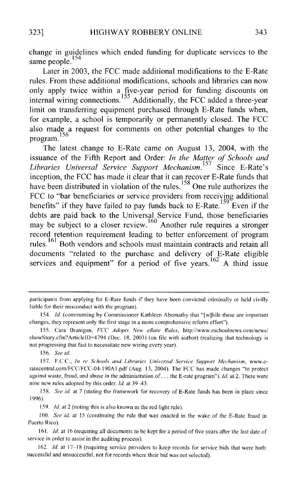change in guidelines which ended funding for duplicate services to the same people.<sup>154</sup>

Later in 2003, the FCC made additional modifications to the E-Rate rules. From these additional modifications, schools and libraries can now only apply twice within a five-year period for funding discounts on internal wiring connections.<sup>155</sup> Additionally, the FCC added a three-year limit on transferring equipment purchased through E-Rate funds when, for example, a school is temporarily or permanently closed. The FCC also made a request for comments on other potential changes to the program.<sup>156</sup>

The latest change to E-Rate came on August 13, 2004, with the issuance of the Fifth Report and Order: *In the Matter of Schools and*  Libraries Universal Service Support Mechanism.<sup>157</sup> Since E-Rate's inception, the FCC has made it clear that it can recover E-Rate funds that have been distributed in violation of the rules.  $158$  One rule authorizes the FCC to "bar beneficiaries or service providers from receiving additional benefits" if they have failed to pay funds back to  $E$ -Rate.<sup>159</sup> Even if the debts are paid back to the Universal Service Fund, those beneficiaries may be subject to a closer review.  $160$  Another rule requires a stronger record retention requirement leading to better enforcement of program rules.<sup>161</sup> Both vendors and schools must maintain contracts and retain all documents "related to the purchase and delivery of. E-Rate eligible services and equipment" for a period of five years.  $^{162}$  A third issue

158. *See id.* at 7 (stating the framework for recovery of E-Rate funds has been in place since 1996).

159. *ld* at 2 (noting this is also known as the red light rule).

160. *See id.* at 15 (continuing the rule that was enacted in the wake of the E-Rate fraud in Puerto Rico).

161. *!d.* at 16 (requiring all documents to be kept for a period of five years after the last date of service in order to assist in the auditing process).

162. *ld.* at 17-18 (requiring service providers to keep records for service bids that were both successful and unsuccessful, not for records where their bid was not selected).

participants from applying for E-Rate funds if they have been convicted criminally or held civilly liable for their misconduct with the program).

<sup>154.</sup> *!d.* (commenting by Commissioner Kathleen Abernathy that "[w]hile these are important changes. they represent only the first stage in a more comprehensive reform effort").

<sup>155.</sup> Cara Branigan. *FCC Adopts New eRate Rules,* http://www.eschoolnews.com/news/ showStory.cfm?ArticleID=4794 (Dec. 18, 2003) (on file with author) (realizing that technology is not progressing that fast to necessitate new wiring every year).

<sup>156.</sup> *See id.* 

<sup>157.</sup> F.C.C., *In re Schools and Libraries Universal Service Support Mechanism,* www.eratecentral.com/FCC/FCC-04-190A l.pdf (Aug. 13, 2004). The FCC has made changes "to protect against waste, fraud, and abuse in the administration of ... the E-rate program"). *!d.* at 2. There were nine new rules adopted by this order. *!d.* at 39-43.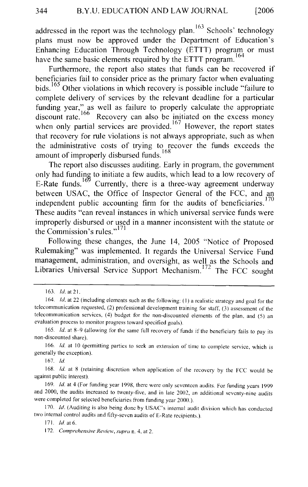addressed in the report was the technology plan. <sup>163</sup> Schools' technology plans must now be approved under the Department of Education's Enhancing Education Through Technology (ETTT) program or must have the same basic elements required by the ETTT program.<sup>164</sup>

Furthermore, the report also states that funds can be recovered if beneficiaries fail to consider price as the primary factor when evaluating bids.<sup>165</sup> Other violations in which recovery is possible include "failure to complete delivery of services by the relevant deadline for a particular funding year," as well as failure to properly calculate the appropriate discount rate.<sup>166</sup> Recovery can also be initiated on the excess money when only partial services are provided.<sup>167</sup> However, the report states that recovery for rule violations is not always appropriate, such as when the administrative costs of trying to recover the funds exceeds the amount of improperly disbursed funds.<sup>168</sup>

The report also discusses auditing. Early in program, the government only had funding to initiate a few audits, which lead to a low recovery of E-Rate funds.<sup>169</sup> Currently, there is a three-way agreement underway between USAC, the Office of Inspector General of the FCC, and an independent public accounting firm for the audits of beneficiaries.<sup>170</sup> These audits "can reveal instances in which universal service funds were improperly disbursed or used in a manner inconsistent with the statute or the Commission's rules."<sup>171</sup>

Following these changes, the June 14, 2005 "Notice of Proposed Rulemaking" was implemented. It regards the Universal Service Fund management, administration, and oversight, as well as the Schools and Libraries Universal Service Support Mechanism.<sup>172</sup> The FCC sought

167. ld

I 63. *!d.* at 21.

<sup>164.</sup> *Id.* at 22 (including elements such as the following: (1) a realistic strategy and goal for the telecommunication requested, (2) professional development training for staff, (3) assessment of the telecommunication services, (4) budget for the non-discounted elements of the plan, and (5) an evaluation process to monitor progress toward specified goals).

<sup>165.</sup> *Id.* at 8-9 (allowing for the same full recovery of funds if the beneficiary fails to pay its non-discounted share).

<sup>166.</sup> *Id.* at 10 (permitting parties to seek an extension of time to complete service, which is generally the exception).

<sup>168.</sup> *Id.* at 8 (retaining discretion when application of the recovery by the FCC would be against public interest).

<sup>169.</sup> *!d.* at 4 (For funding year 1998, there were only seventeen audits. For funding years 1999 and 2000, the audits increased to twenty-five, and in late 2002, an additional seventy-nine audits were completed for selected beneficiaries from funding year 2000. ).

<sup>170.</sup> *Id.* (Auditing is also being done by USAC's internal audit division which has conducted two internal control audits and fifty-seven audits of E-Ratc recipients.).

<sup>171.</sup> *!d* at 6.

I 72. *Comprehensive Review, supra* n. 4, at 2.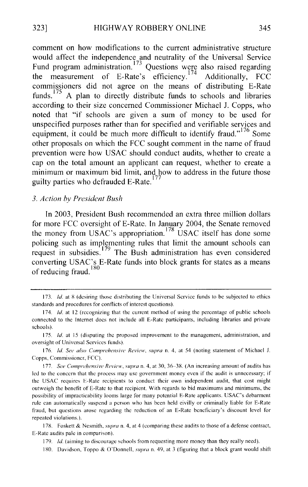comment on how modifications to the current administrative structure would affect the independence and neutrality of the Universal Service Fund program administration.<sup>173</sup> Questions were also raised regarding the measurement of E-Rate's efficiency.<sup>174</sup> Additionally, FCC commissioners did not agree on the means of distributing E-Rate funds.<sup>175</sup> A plan to directly distribute funds to schools and libraries according to their size concerned Commissioner Michael J. Copps, who noted that "if schools are given a sum of money to be used for unspecified purposes rather than for specified and verifiable services and equipment, it could be much more difficult to identify fraud."<sup>176</sup> Some other proposals on which the FCC sought comment in the name of fraud prevention were how USAC should conduct audits, whether to create a cap on the total amount an applicant can request, whether to create a minimum or maximum bid limit, and how to address in the future those guilty parties who defrauded E-Rate.<sup>177</sup>

#### *3. Action by President Bush*

In 2003, President Bush recommended an extra three million dollars for more FCC oversight of E-Rate. In January 2004, the Senate removed the money from USAC's appropriation.<sup>178</sup>USAC itself has done some policing such as implementing rules that limit the amount schools can request in subsidies.<sup>179</sup> The Bush administration has even considered converting USAC's E-Ratc funds into block grants for states as a means of reducing fraud.<sup>180</sup>

<sup>173.</sup> *Id.* at 8 (desiring those distributing the Universal Service funds to be subjected to ethics standards and procedures for conflicts of interest questions).

<sup>174.</sup> *!d.* at 12 (recognizing that the current method of using the percentage of public schools connected to the Internet does not include all E-Rate participants, including libraries and private schools).

<sup>175.</sup> *Id.* at 15 (disputing the proposed improvement to the management, administration, and oversight of Universal Services funds).

I 76. *!d. See also Comprehensive Review. supra* n. 4, at 54 (noting statement of Michael J. Copps, Commissioner, FCC).

I 77. *See Comprehensive Review. supra* n. 4. at 30, 36-38. (An increasing amount of audits has led to the concern that the process may use government money even if the audit is unnecessary; if the USAC requires E-Rate recipients to conduct their own independent audit, that cost might outweigh the benefit of E-Rate to that recipient. With regards to bid maximums and minimums, the possibility of impracticability looms large for many potential E-Rate applicants. USAC's debarment rule can automatically suspend a person who has been held civilly or criminally liable for E-Rate fraud, but questions arose regarding the reduction of an E-Rate beneficiary's discount level for repeated violations.).

I 78. Foskett & Nesmith, *supra* n. 4, at 4 (comparing these audits to those of a defense contract, E-Rate audits pale in comparison).

<sup>179.</sup> *Id.* (aiming to discourage schools from requesting more money than they really need).

I 80. Davidson, Toppo & O'Donnell, *supra* n. 49, at 3 (figuring that a block grant would shift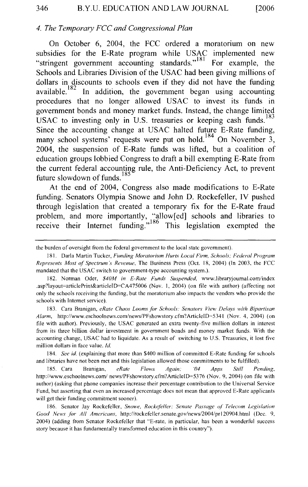#### *4. The Temporary FCC and Congressional Plan*

On October 6, 2004, the FCC ordered a moratorium on new subsidies for the E-Rate program while USAC implemented new "stringent government accounting standards."<sup>181</sup> For example, the Schools and Libraries Division of the USAC had been giving millions of dollars in discounts to schools even if they did not have the funding available.  $182$  In addition, the government began using accounting procedures that no longer allowed USAC to invest its funds in government bonds and money market funds. Instead, the change limited USAC to investing only in U.S. treasuries or keeping cash funds.<sup>183</sup> Since the accounting change at USAC halted future E-Rate funding, many school systems' requests were put on hold.<sup>184</sup> On November 3, 2004, the suspension of E-Rate funds was lifted, but a coalition of education groups lobbied Congress to draft a bill exempting E-Rate from the current federal accounting rule, the Anti-Deficiency Act, to prevent future slowdown of funds. 185

At the end of 2004, Congress also made modifications to E-Rate funding. Senators Olympia Snowe and John D. Rockefeller, IV pushed through legislation that created a temporary fix for the E-Rate fraud problem, and more importantly, "allow[ed] schools and libraries to receive their Internet funding." 186 This legislation exempted the

183. Cara Branigan, *eRate Chaos Loomsfor Schools: Senators View Delays with Bipartisan Alarm,* http://www.eschoolnews.com/news/PFshowstory.cfm?ArticleiD=5341 (Nov. 4, 2004) (on file with author). Previously, the USAC generated an extra twenty-five million dollars in interest from its three billion dollar investment in government bonds and money market funds. With the accounting change, USAC had to liquidate. As a result of switching to U.S. Treasuries, it lost five million dollars in face value. */d.* 

184. *See id.* (explaining that more than \$400 million of committed E-Rate funding for schools and libraries have not been met and this legislation allowed those commitments to be fulfilled).

185. Cara Branigan, *eRate Flows Again; '04 Apps Still Pending,*  http://www.eschoolnews.com/ news/PFshowstory.cfm?ArticleiD=5376 (Nov. 9, 2004) (on file with author) (asking that phone companies increase their percentage contribution to the Universal Service Fund, but asserting that even an increased percentage does not mean that approved E-Rate applicants will get their funding commitment sooner).

186. Senator Jay Rockefeller, *Snowe, Rockefeller: Senate Passage of' Telecom Legislation Good News for All Americans,* http://rockefeller.senate.gov/news/2004/prl20904.html (Dec. 9, 2004) (adding from Senator Rockefeller that "E-rate, in particular, has been a wonderful success story because it has fundamentally transformed education in this country").

the burden of oversight from the federal government to the local state government).

<sup>181.</sup> Darla Martin Tucker, *Funding Moratorium Hurts Local Firm, Schools; Federal Program Represents Most of Spectrum's Revenue,* The Business Press (Oct. 18, 2004) (In 2003, the FCC mandated that the USAC switch to government-type accounting system.).

<sup>182.</sup> Norman Oder, \$40M in E-Rate Funds Suspended, www.libraryjournal.com/index .asp?Jayout=articlePrint&articleiD=CA475006 (Nov. I, 2004) (on file with author) (affecting not only the schools receiving the funding, but the moratorium also impacts the venders who provide the schools with Internet service).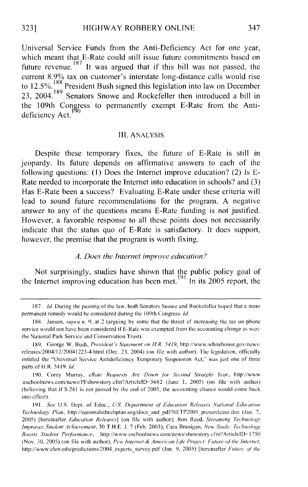Universal Service Funds from the Anti-Deficiency Act for one year, which meant that E-Rate could still issue future commitments based on future revenue.<sup>187</sup> It was argued that if this bill was not passed, the current 8.9% tax on customer's interstate long-distance calls would rise to 12.5%. <sup>188</sup> President Bush signed this legislation into law on December 23, 2004.<sup>189</sup> Senators Snowe and Rockefeller then introduced a bill in the 109th Congress to permanently exempt E-Rate from the Antideficiency Act.

#### III. ANALYSIS

Despite these temporary fixes, the future of E-Rate is still in jeopardy. Its future depends on affirmative answers to each of the following questions: (1) Does the Internet improve education? (2) Is E-Rate needed to incorporate the Internet into education in schools? and (3) Has E-Rate been a success? Evaluating E-Rate under these criteria will lead to sound future recommendations for the program. A negative answer to any of the questions means E-Rate funding is not justified. However, a favorable response to all these points does not necessarily indicate that the status quo of E-Rate is satisfactory. It does support, however, the premise that the program is worth fixing.

#### *A. Does the Internet improve education?*

Not surprisingly, studies have shown that the public policy goal of the Internet improving education has been met.<sup>[9]</sup> In its 2005 report, the

<sup>187.</sup> *!d.* During the passing of the law, both Senators Snowe and Rockefeller hoped that a more permanent remedy would be considered during the I 09th Congress. *ld* 

<sup>188.</sup> Jansen, *supra* n. 9. at 2 (arguing by some that the threat of increasing the tax on phone service would not have been considered if E-Ratc was exempted from the accounting change as wen· the National Park Service and Conservation Trust).

<sup>189.</sup> George W. Bush, *President's Statement on H.R. 5419*, http://www.whitehouse.gov/news/ releases/2004/12/20041223-4.html (Dec. 23, 2004) (on file with author). The legislation, officially entitled the "Universal Service Antideticiency Temporary Suspension Act," was just one of three parts of H.R. 5419. Id.

<sup>190.</sup> Corey Murray, eRate Requests Are Down for Second Straight Year, http://www .eschoolnews.com/news/PFshowstory.cfm'' Article1D=5682 (June I, 2005) (on file with author) (believing that if S.241 is not passed by the end of 2005, the accounting chance would come back into effect).

<sup>191.</sup> See U.S. Dept. of Educ., *U.S. Department of Education Releases National Education Technology Plan, http://nationaledtechplan.org/docs and pdf/NETP2005 pressrelease.doc (Jan. 7,* 2005) [hereinafter *Education Releases*] (on file with author); Ron Reed, *Streaming Technology Improves Student Achievement,* 30 T.H.E. J. 7 (Feb. 2003); Cara Branigan, *New Stwlv: Technology*  Boosts Student Performance, http://www.eschoolnews.com/news/showstory.cfm?ArticleID=1750 (Nov. 30, 2005) (on file with author); *Pew Internet* & *American* Life *Project: Future of' the Internet,*  http://www.elon.edu/predictions/2004\_experts\_survcy.pdf (Jan. 9, 2005) [hereinafter *Future of the*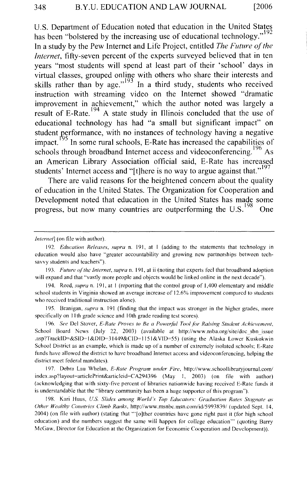U.S. Department of Education noted that education in the United States has been "bolstered by the increasing use of educational technology."  $192$ In a study by the Pew Internet and Life Project, entitled *The Future of the Internet*, fifty-seven percent of the experts surveyed believed that in ten years "most students will spend at least part of their 'school' days in virtual classes, grouped online with others who share their interests and skills rather than by age."<sup>193</sup> In a third study, students who received instruction with streaming video on the Internet showed "dramatic improvement in achievement," which the author noted was largely a result of E-Rate.  $194$  A state study in Illinois concluded that the use of educational technology has had "a small but significant impact" on student performance, with no instances of technology having a negative impact.<sup>195</sup> In some rural schools, E-Rate has increased the capabilities of schools through broadband Internet access and videoconferencing.<sup>196</sup> As an American Library Association official said, E-Rate has increased students' Internet access and " $[t]$ here is no way to argue against that."<sup>197</sup>

There are valid reasons for the heightened concern about the quality of education in the United States. The Organization for Cooperation and Development noted that education in the United States has made some progress, but now many countries are outperforming the  $U.S.<sup>198</sup>$  One

194. Reed, *supra* n. 191, at I (reporting that the control group of I ,400 elementary and middle school students in Virginia showed an average increase of 12.6% improvement compared to students who received traditional instruction alone).

195. Branigan, *supra* n. 191 (finding that the impact was stronger in the higher grades, more specifically on 11th grade science and 10th grade reading test scores).

196. See Del Stover, *E-Rate Proves to Be a Powerful Tool for Raising Student Achievement*, School Board News (July 22, 2003) (available at http://www.nsba.org/site/doc\_sbn\_issue .asp?Track!D=&SID= I &DID=31449&CID= 1151 & VID=55) (using the Alaska Lower Kuskokwin School District as an example, which is made up of a number of extremely isolated schools; E-Ratc funds have allowed the district to have broadband Internet access and videoconferencing, helping the district meet federal mandates).

197. Debra Lau Whelan, *£-Rate Program under Fire,* http://www.schoollibraryjournal.com/ index.asp?layout=articlePrint&articleid=CA294396 (May 1, 2003) (on file with author) (acknowledging that with sixty-five percent of libraries nationwide having received E-Rate funds it is understandable that the "library community has been a huge supporter of this program").

198. Kari Huus, *U.S. Slides among World's Top Educators: Graduation Rates Stagnate as Other Wealthy Countries Climb Ranks, http://www.msnbc.msn.com/id/5993839/ (updated Sept. 14,* 2004) (on file with author) (stating that '"[o]ther countries have gone right past it (for high school education) and the numbers suggest the same will happen for college education"' (quoting Barry McGaw, Director for Education at the Organization for Economic Cooperation and Development)).

*Internet*] (on file with author).

<sup>192.</sup> *Education Releases, supra* n. 191, at I (adding to the statements that technology in education would also have "greater accountability and growing new partnerships between techsavvy students and teachers").

<sup>193.</sup> *Future of the Internet, supra* n. 191, at ii (noting that experts feel that broadband adoption will expand and that "vastly more people and objects would be linked online in the next decade").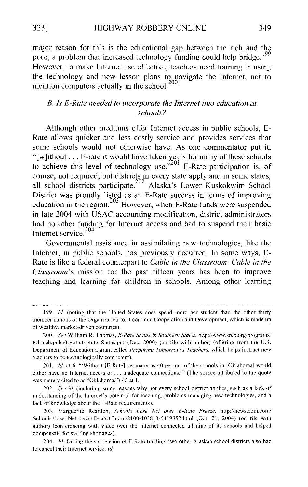major reason for this is the educational gap between the rich and the poor, a problem that increased technology funding could help bridge.<sup>199</sup> However, to make Internet use effective, teachers need training in using the technology and new lesson plans to navigate the Internet, not to mention computers actually in the school.<sup>200</sup>

#### *B. Is £-Rate needed to incorporate the Internet into education at schools?*

Although other mediums offer Internet access in public schools, E-Rate allows quicker and less costly service and provides services that some schools would not otherwise have. As one commentator put it, "[ $w$ ]ithout ... E-rate it would have taken years for many of these schools to achieve this level of technology use.<sup>"201</sup> E-Rate participation is, of course, not required, but districts in every state apply and in some states, all school districts participate.<sup>202</sup> Alaska's Lower Kuskokwim School District was proudly listed as an E-Rate success in terms of improving education in the region.<sup>203</sup> However, when E-Rate funds were suspended in late 2004 with USAC accounting modification, district administrators had no other funding for Internet access and had to suspend their basic Internet service. $204$ 

Governmental assistance in assimilating new technologies, like the Internet, in public schools, has previously occurred. In some ways, E-Rate is like a federal counterpart to *Cable in the Classroom. Cable in the Classroom's* mission for the past fifteen years has been to improve teaching and learning for children in schools. Among other learning

<sup>199.</sup> */d.* (noting that the United States docs spend more per student than the other thirty member nations of the Organization for Economic Cooperation and Development, which is made up of wealthy, market-driven countries).

<sup>200.</sup> *See* William R. Thomas, *£-Rate Status in Southern States,* http://www.sreb.org/programs/ EdTech/pubs/ERate/E-Rate\_Status.pdf (Dec. 2000) (on file with author) (offering from the U.S. Department of Education a grant called *Preparing Tomorrow's Teachers,* which helps instruct new teachers to be technologically competent).

<sup>201.</sup> *Id.* at 6. "Without [E-Rate], as many as 40 percent of the schools in [Oklahoma] would either have no Internet access or ... inadequate connections."' (The source attributed to the quote was merely cited to as "Oklahoma.") */d.* at I.

<sup>202.</sup> *See id.* (including some reasons why not every school district applies, such as a lack of understanding of the Internet's potential for teaching, problems managing new technologies, and a lack of knowledge about the E-Rate requirements).

<sup>203.</sup> Marguerite Reardon, *Schools Lose Net over £-Rate Freeze,* http://news.com.com/ Schools·tlose+Net+over+E-ratc+freeze/21 00-1038 \_3-5419852.html (Oct. 21, 2004) (on file with author) (conferencing with video over the Internet connected all nine of its schools and helped compensate for staffing shortages).

<sup>204.</sup> */d.* During the suspension of E-Rate funding, two other Alaskan school districts also had to cancel their Internet service. */d.*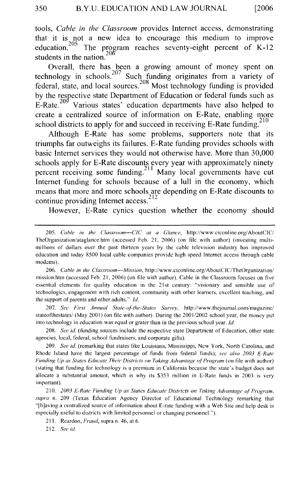tools, *Cable in the Classroom* provides Internet access, demonstrating that it is not a new idea to encourage this medium to improve education.<sup>205</sup> The program reaches seventy-eight percent of K-12 students in the nation.<sup>206</sup>

Overall, there has been a growing amount of money spent on technology in schools.<sup>207</sup> Such funding originates from a variety of federal, state, and local sources?08 Most technology funding is provided by the respective state Department of Education or federal funds such as E-Rate.<sup>209</sup> Various states' education departments have also helped to create a centralized source of information on E-Rate, enabling more school districts to apply for and succeed in receiving E-Rate funding.<sup>210</sup>

Although E-Rate has some problems, supporters note that its triumphs far outweighs its failures. E-Rate funding provides schools with basic Internet services they would not otherwise have. More than 30,000 schools apply for E-Rate discounts every year with approximately ninety percent receiving some funding.<sup>211</sup> Many local governments have cut Internet funding for schools because of a **lull** in the economy, which means that more and more schools are depending on E-Rate discounts to continue providing Internet access.<sup>212</sup>

However, E-Rate cynics question whether the economy should

207. See First Annual State-of-the-States Survey, http://www.thejournal.com/magazine/ stateofthestates/ (May 2001) (on file with author). During the 2001/2002 school year, the money put into technology in education was equal or grater than in the previous school year. */d.* 

208. *See id.* (funding sources include the respective state Department of Education, other state agencies. local, federal, school fundraisers, and corporate gifts).

209. *See* id. (remarking that states like Louisiana, Mississippi, New York, North Carolina, and Rhode Island have the largest percentage of funds from federal funds); *see also 2003 £-Rate Funding Up as States Educate Their Districts on Taking Advantage of Program* (on file with author) (stating that funding for technology is a premium in California because the state's budget does not allocate a substantial amount, which is why its \$353 million in E-Rate funds in 2003 is very important).

210. *2003 £-Rate Funding Up as States Educate Districts on Taking Advantage ol Program, supra* n. 209 (Texas Education Agency Director of Educational Technology remarking that "[h]aving a centralized source of infonnation about E-ratc funding with a Web Site and help desk is especially useful to districts with limited personnel or changing personnel.").

211. Reardon, *Fraud,* supra n. 46, at 6.

212. *See id.* 

<sup>205.</sup> *Cahlc in the Classroom-CIC at a Glance,* http://www.ciconline.org/AboutClC/ TheOrganization/ataglance.htm (accessed Feb. 21, 2006) (on file with author) (investing multimillions of dollars over the past thirteen years by the cable television industry has improved education and today 8500 local cable companies provide high speed Internet access through cable modems).

<sup>206.</sup> *Cahle in the Classroom-Mission,* http://www.ciconline.org/ AboutC!C/TheOrganization/ mission.htm (accessed Feb. 21, 2006) (on file with author). Cable in the Classroom focuses on five essential elements for quality education in the 21st century: "visionary and sensible use of technologies, engagement with rich content, community with other learners. excellent teaching, and the support of parents and other adults." *!d.*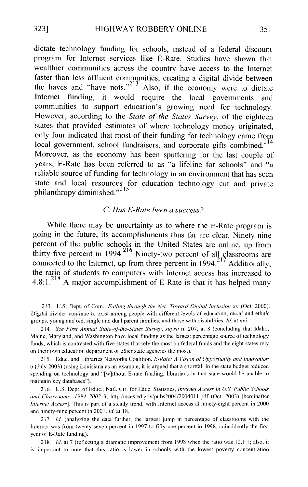dictate technology funding for schools, instead of a federal discount program for Internet services like E-Rate. Studies have shown that wealthier communities across the country have access to the Internet faster than less affluent communities, creating a digital divide between the haves and "have nots."<sup>213</sup> Also, if the economy were to dictate Internet funding, it would require the local governments and communities to support education's growing need for technology. However, according to the *State of the States Survey,* of the eighteen states that provided estimates of where technology money originated, only four indicated that most of their funding for technology came from local government, school fundraisers, and corporate gifts combined.<sup>214</sup> Moreover, as the economy has been sputtering for the last couple of years, E-Rate has been referred to as "a lifeline for schools" and "a reliable source of funding for technology in an environment that has seen state and local resources for education technology cut and private philanthropy diminished."<sup>215</sup>

#### C. *Has £-Rate been a success?*

While there may be uncertainty as to where the E-Rate program is going in the future, its accomplishments thus far are clear. Ninety-nine percent of the public schools in the United States are online, up from thirty-five percent in 1994.<sup>216</sup> Ninety-two percent of all classrooms are connected to the Internet, up from three percent in  $1994<sup>217</sup>$  Additionally, the ratio of students to computers with Internet access has increased to 4.8:1.<sup>218</sup> A major accomplishment of E-Rate is that it has helped many

<sup>213.</sup> U.S. Dept. of Com .• Fed *ling through the Net: Toward Digital Inclusion* xv (Oct. 2000). Digital divides continue *to* exist among people with different levels of education, racial and ethnic groups, young and old, single and dual parent families, and those with disabilities. *!d.* at xvi.

<sup>214.</sup> *See First Annual State-oFthe-States Survev, supra* n. 207, at 8 (concluding that Idaho, Maine, Maryland, and Washington have local funding as the largest percentage source of technology funds, which is contrasted with five states that rely the most on federal funds and the eight states rely on their own education department or other state agencies the most).

<sup>215.</sup> Educ. and Libraries Networks Coalition, *£-Rate: A Vision ol Opportunity and Innovation*  6 (July 2003) (using Louisiana as an example, it is argued that a shortfall in the state budget reduced spending on technology and "[w]ithout E-rate funding, librarians in that state would be unable to maintain key databases").

<sup>216.</sup> U.S. Dept. of Educ., Natl. Ctr. for Educ. Statistics, *Interne/ Access in U.S. Puhlic Schools and Classrooms: 1994-2002* 3, http://nces.ed.gov/pubs2004/2004011.pdf (Oct. 2003) [hereinafter *Internet Access].* This is part of a steady trend, with Internet access at ninety-eight percent in 2000 and ninety-nine percent in 2001. *Id.* at 18.

<sup>217.</sup> *!d.* (analyzing the data further, the largest jump in percentage of classrooms with the Internet was from twenty-seven percent in 1997 to fifty-one percent in 1998, coincidently the first year of E-Rate funding).

<sup>218.</sup> *Id.* at 7 (reflecting a dramatic improvement from 1998 when the ratio was 12.1:1; also, it is important to note that this ratio is lower in schools with the lowest poverty concentration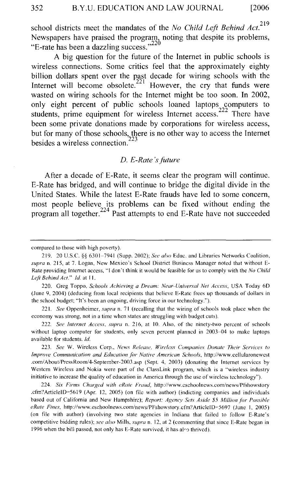school districts meet the mandates of the *No Child Left Behind Act.*<sup>219</sup> Newspapers have praised the program, noting that despite its problems, "E-rate has been a dazzling success."<sup>220</sup>

A big question for the future of the Internet in public schools is wireless connections. Some critics feel that the approximately eighty billion dollars spent over the past decade for wiring schools with the Internet will become obsolete.<sup>221</sup> However, the cry that funds were wasted on wiring schools for the Internet might be too soon. In 2002, only eight percent of public schools loaned laptops computers to students, prime equipment for wireless Internet access.<sup>222</sup> There have been some private donations made by corporations for wireless access, but for many of those schools, there is no other way to access the Internet besides a wireless connection.<sup> $223$ </sup>

#### *D. E-Rate 's future*

After a decade of E-Rate, it seems clear the program will continue. E-Rate has bridged, and will continue to bridge the digital divide in the United States. While the latest E-Rate frauds have led to some concern, most people believe its problems can be fixed without ending the program all together.<sup>224</sup> Past attempts to end E-Rate have not succeeded

compared to those with high poverty).

<sup>219. 20</sup> U.S.C. §§ 6301-7941 (Supp. 2002); *See also* Educ. and Libraries Networks Coalition, *supra* n. 215, at 7. Logan, New Mexico's School District Business Manager noted that without E-Rate providing Internet access, "I don't think it would be feasible for us to comply with the *No Child Leji Behind Act." !d.* at 11.

<sup>220.</sup> Greg Toppo, *Schools Achieving a Dream: Near-Universal Net Access,* USA Today 60 (June 9, 2004) (deducing from local recipients that believe E-Ratc frees up thousands of dollars in the school budget; "It's heen an ongoing, driving force in our technology.").

<sup>221.</sup> *See* Oppenheimer, *supra* n. 71 (recalling that the wiring of schools took place when the economy was strong, not in a time when states are struggling with budget cuts).

<sup>222.</sup> *See Internet Access, supra* n. 216, at 10. Also, of the ninety-two percent of schools without laptop computer for students, only seven percent planned in 2003-04 to make laptops available for students. *!d.* 

<sup>223.</sup> *See* W. Wireless Corp., *News Release, Wireless Companies Donate Their Services to Improve Communication and Education filr Native American Schools,* http://www.cellularonewest .com/About/PressRoom/4-Septembcr-2003.asp (Sept. 4, 2003) (donating the Internet services by Western Wireless and Nokia were part of the ClassLink program, which is a "wireless industry initiative to increase the quality of education in America through the use of wireless technology").

<sup>224.</sup> *Six Firms Charged with cRate Fraud,* http://www.cschoolncws.com/news/Pfshowstory .cfm'' ArticleiD=5619 (Apr. 12, 2005) (on file with author) (indicting companies and individuals based out of California and New Hampshire); *Report: Agency Sets Aside \$5 Million for Possible eRate Fines, http://www.eschoolnews.com/news/PFshowstory.cfm?ArticleID=5697 (June 1, 2005)* (on file with author) (involving two state agencies in Indiana that failed to follow E-Rate's competitive bidding rules); *see also* Mills, *supra* n. 12, at 2 (commenting that since E-Rate began in 1996 when the bill passed, not only has E-Rate survived, it has also thrived).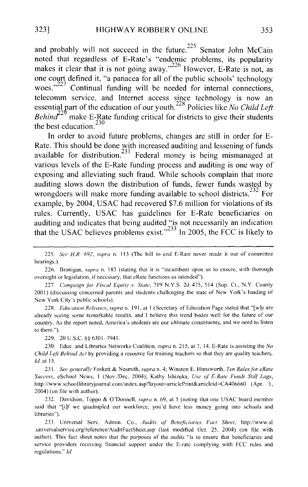and probably will not succeed in the future.<sup>225</sup> Senator John McCain noted that regardless of E-Rate's "endemic problems, its popularity makes it clear that it is not going away. $^{226}$  However, E-Rate is not, as one court defined it, "a panacea for all of the public schools' technology woes."<sup>227</sup> Continual funding will be needed for internal connections, telecomm service, and Internet access since technology is now an essential part of the education of our youth.<sup>228</sup> Policies like *No Child Left Behind*<sup>229</sup> make E-Rate funding critical for districts to give their students the best education. $230$ 

In order to avoid future problems, changes are still in order for E-Rate. This should be done with increased auditing and lessening of funds available for distribution.<sup>231</sup> Federal money is being mismanaged at various levels of the E-Rate funding process and auditing is one way of exposing and alleviating such fraud. While schools complain that more auditing slows down the distribution of funds, fewer funds wasted by wrongdoers will make more funding available to school districts. $232$  For example, by 2004, USAC had recovered \$7.6 million for violations of its rules. Currently, USAC has guidelines for E-Rate beneficiaries on auditing and indicates that being audited "is not necessarily an indication that the USAC believes problems exist."<sup>233</sup> In 2005, the FCC is likely to

228. *Education Releases, supra* n. 191, at 1 (Secretary of Education Page stated that "[w]e are already seeing some remarkable results, and I believe this trend bodes well for the future of our country. As the report noted, America's students arc our ultimate constituents, and we need to listen to them.").

229. 20 U .S.C. §§ 6301-7941.

230. Educ. and Libraries Networks Coalition, *supra* n. 215, at 7, 14. E-Rate is assisting the *No Child Left Behind Act* by providing a resource for training teachers so that they are quality teachers. *!d.* at 15.

231. *See generally* Foskett & Nesmith, *supra* n. 4; Winston E. Himsworth, *Ten Rules for eRate Success,* eSchool News, I (Nov./Dec. 2004); Kathy lshizuka, *Use of' £-Rate Funds Still Lags,*  http://www. schoollibraryjoumal.com/index.asp?layout=articlePrint&articleid=CA406660 (Apr. I, 2004) (on file with author).

232. Davidson, Toppo & O'Donnell, *supra* n. 69, at 5 (noting that one USAC board member said that "[i]f we quadrupled our workforce, you'd have less money going into schools and libraries").

233. Universal Serv. Admin. Co., *Audits of' Beneficiaries Fact Sheet,* http://www.sl .universalservice.org/reference/ AuditFactShcet.asp (last modified Oct. 25, 2004) (on file with author). This fact sheet notes that the purposes of the audits "is to ensure that beneficiaries and service providers receiving financial support under the E-rate complying with FCC rules and regulations." *!d.* 

<sup>225.</sup> *See H.R. 692, supra* n. 113 (The bill to end E-Rate never made it out of committee hearings.).

<sup>226.</sup> Branigan, *supra* n. 183 (stating that it is "incumbent upon us to ensure, with thorough oversight or legislation, if necessary. that cRate functions as intended").

<sup>227.</sup> Campaign for Fiscal Equity v. State, 719 N.Y.S. 2d 475, 514 (Sup. Ct., N.Y. County 2001) (discussing concerned parents and students challenging the state of New York's funding of New York City's public schools).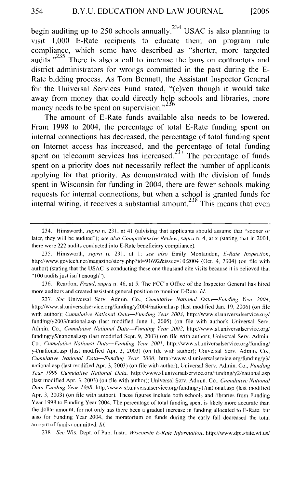begin auditing up to 250 schools annually.<sup>234</sup> USAC is also planning to visit 1,000 E-Rate recipients to educate them on program rule compliance, which some have described as "shorter, more targeted audits."<sup>235</sup> There is also a call to increase the bans on contractors and district administrators for wrongs committed in the past during the E-Rate bidding process. As Tom Bennett, the Assistant Inspector General for the Universal Services Fund stated, "(e)ven though it would take away from money that could directly help schools and libraries, more money needs to be spent on supervision." $^{236}$ 

The amount of E-Rate funds available also needs to be lowered. From 1998 to 2004, the percentage of total E-Rate funding spent on internal connections has decreased, the percentage of total funding spent on Internet access has increased, and the percentage of total funding spent on telecomm services has increased.<sup> $23'$ </sup> The percentage of funds spent on a priority does not necessarily reflect the number of applicants applying for that priority. As demonstrated with the division of funds spent in Wisconsin for funding in 2004, there are fewer schools making requests for internal connections, but when a school is granted funds for internal wiring, it receives a substantial amount.<sup>238</sup> This means that even

236. Reardon, *Fraud, supra* n. 46, at 5. The FCC's Office of the Inspector General has hired more auditors and created assistant general position to monitor E-Rate. Id.

<sup>234.</sup> Himsworth, *supra* n. 231, at 41 (advising that applicants should assume that "sooner or later, they will be audited"); *see also Comprehensive Review, supra* n. 4, at x (stating that in 2004, there were 222 audits conducted into E-Rate beneficiary compliance).

<sup>235.</sup> Himsworth, *supra* n. 231, at l; *see also* Emily Montandon, *£-Rate inspection,*  http://www.govtech.net/magazine/story.php?id=91692&issue=10:2004 (Oct. 4, 2004) (on file with author) (stating that the USAC is conducting these one thousand cite visits because it is believed that "l 00 audits just isn't enough").

<sup>237.</sup> *See* Universal Serv. Admin. Co., *Cumulative National Data-Funding Year 2004,*  http://www.sl.universalservice.org/funding/y2004/national.asp (last modified Jan. 19, 2006) (on file with author); *Cumulative National Data-Funding Year 2003*, http://www.sl.universalservice.org/ funding/y2003/national.asp (last modified June l, 2005) (on file with author); Universal Scrv. Admin. Co., *Cumulative National Data-Funding Year 2002,* http://www.sl.universalservice.org/ funding/y5/national.asp (last modified Sept. 9, 2003) (on file with author); Universal Serv. Admin. Co., *Cumulative National Data-Funding Year 2001,* http://www.sl.univcrsalservice.org/funding/ y4/national.asp (last modified Apr. 3, 2003) (on file with author); Universal Serv. Admin. Co., *Cumulative National Data-Funding Year 2000,* http://www.sl.universalservice.org/funding/y3/ national.asp (last modified Apr. 3, 2003) (on file with author); Universal Serv. Admin. Co., *Funding Year 1999 Cumulative National Data,* http://www.sl.universalscrvice.org/funding/y2/national.asp (last modified Apr. 3, 2003) (on tile with author); Universal Serv. Admin. Co., *Cumulative National Data Funding Year 1998,* http://www.sl.univcrsalservice.org/funding/y l /national. asp (last modified Apr. 3, 2003) (on file with author). These figures include both schools and libraries from Funding Y car 1998 to Funding Year 2004. The percentage of total funding spent is likely more accurate than the dollar amount, for not only has there been a gradual increase in funding allocated to E-Ratc, but also for Funding Year 2004, the moratorium on funds during the early fall decreased the total amount of funds committed. Id.

<sup>238.</sup> *See* Wis. Dept. of Pub. lnstr., *Wisconsin £-Rate lnfimnation,* http://www.dpi.state.wi.us/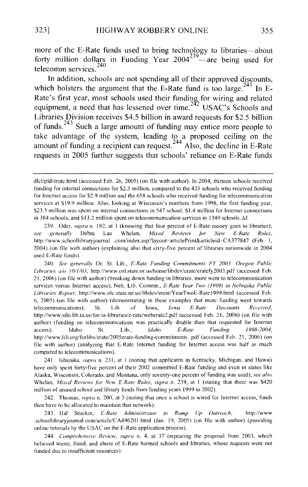more of the E-Rate funds used to bring technology to libraries-about forty million dollars in Funding Year  $2004^{239}$  are being used for telecomm services. 240

In addition, schools are not spending all of their approved discounts, which bolsters the argument that the E-Rate fund is too large.<sup>241</sup> In E-Rate's first year, most schools used their funding for wiring and related equipment, a need that has lessened over time.<sup>242</sup> USAC's Schools and Libraries Division receives \$4.5 billion in award requests for \$2.5 billion of funds.<sup>243</sup> Such a large amount of funding may entice more people to take advantage of the system, leading to a proposed ceiling on the amount of funding a recipient can request.<sup>244</sup> Also, the decline in E-Rate requests in 2005 further suggests that schools' reliance on E-Rate funds

241. lshizuka, *supra* n. 23 I, at I (noting that applicants in Kentucky, Michigan, and Hawaii have only spent forty-five percent of their 2002 committed E-Rate funding and even in states like Alaska, Wisconsin, Colorado, and Montana, only seventy-one percent of funding was used); *see also*  Whelan, *Mixed Reviews for New E-Rate Rules, supra n.* 239, at 1 (stating that there was \$420 million of unused school and library funds from funding years 1999 to 2002).

242. Thomas, *supra* n. 200, at 3 (noting that once a school is wired for Internet access, funds then have to be allocated to maintain that network).

243. Hal Stucker, *£-Rate Administrator to Ramp Up Outreach,* http://www .schoollibraryjournal.com/article/CA49620 l.html (Jan. 19, 2005) (on file with author) (providing online tutorials by the USAC on the E-Rate application process).

244. *Comprehensive Review, supra* n. 4, at 37 (repeating the proposal from 2003, which believed waste, fraud, and abuse of E-Rate harmed schools and libraries, whose requests were not funded due to insufficient resources).

dlcl/pld/eratc.html (accessed Feb. 26, 2005) (on file with author). In 2004, thirteen schools received funding for internal connections for \$2.3 million, compared to the 433 schools who received funding for Internet access for \$2.9 million and the 658 schools who received funding for telecommunication services at \$19.9 million. Also, looking at Wisconsin's numbers from 1998, the first funding year, \$23.5 million was spent on internal connections in 547 school, \$1.4 million for Internet connections in 384 schools, and \$13.2 million spent on telecommunication services in 1349 schools. *Id.* 

<sup>239.</sup> Oder, *supra* n. 182, at 1 (knowing that four percent of E-Rate money goes to libraries); *see generally* Debra Lau Whelan, *Mixed Reviews fhr New £-Rate Rules,*  http://www.schoollibraryjournal .com/index.asp?layout=articlePrint&articleid=CA377847 (Feb. 1, 2004) (on file with author) (explaining also that sixty-five percent of libraries nationwide in 2004 used E-Rate funds).

<sup>240.</sup> *See generally* Or. St. Lib., *£-Rate Funding Commitments FY 2003: Oregon Public Libraries a/o 10/1/03,* http://www.osl.state.or.us/home/libdev/erate/eratefy2003.pdf (accessed Feb. 21, 2006) (on file with author) (breaking down funding in libraries, more went to telecommunication services versus Internet access); Neb. Lib. Commn., *£-Rate Year Two (1999) in Nebraska Puhlic Libraries Report,* http://www.nlc.state.ne.us/libdev/erate/Y earTwoE-Rate I 999.html (accessed Feb. 6, 2005) (on file with author) (demonstrating in these examples that more funding went towards telecommunications); St. Lib. of Iowa, *Iowa £-Rate Discounts Received,*  http://www.silo.lib.ia.us/for-ia-libraries/e-rate/weberate2.pdf (accessed Feb. 21, 2006) (on file with author) (funding on telecommunications was practically double than that requested for Internet access); Idaho St. Lib., *Idaho £-Rate Funding 1998-2004,*  http://www.lili.org/forlibs/erate/2005erate-funding-commitments .pdf (accessed Feb. 21, 2006) (on file with author) (analyzing that E-Rate Internet funding for Internet access was half as much compared to telecommunications).